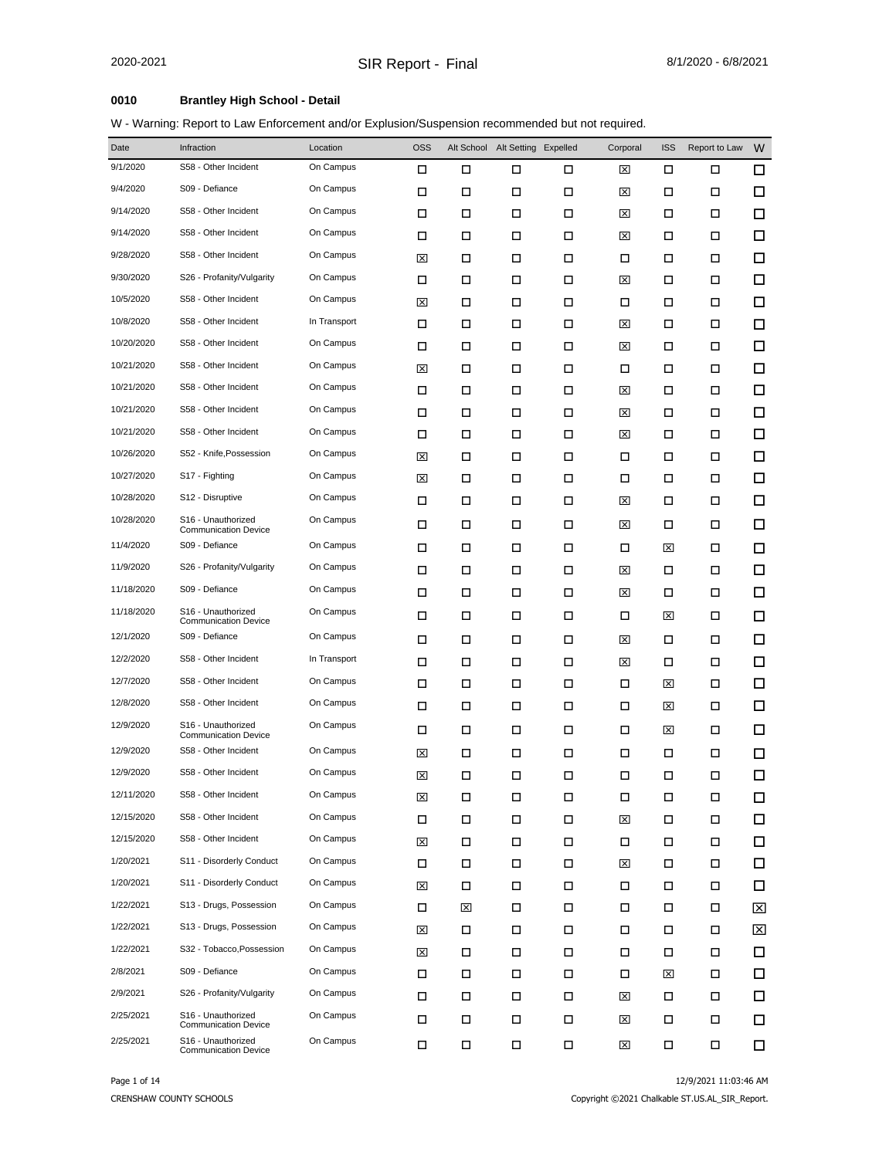#### **0010 Brantley High School - Detail**

| W - Warning: Report to Law Enforcement and/or Explusion/Suspension recommended but not required. |
|--------------------------------------------------------------------------------------------------|
|--------------------------------------------------------------------------------------------------|

| Date       | Infraction                                        | Location     | <b>OSS</b> |        | Alt School Alt Setting Expelled |   | Corporal    | <b>ISS</b> | Report to Law | W      |
|------------|---------------------------------------------------|--------------|------------|--------|---------------------------------|---|-------------|------------|---------------|--------|
| 9/1/2020   | S58 - Other Incident                              | On Campus    | □          | □      | □                               | □ | ⊠           | □          | □             | 口      |
| 9/4/2020   | S09 - Defiance                                    | On Campus    | □          | □      | □                               | □ | ⊠           | □          | □             | □      |
| 9/14/2020  | S58 - Other Incident                              | On Campus    | □          | □      | □                               | □ | ⊠           | □          | □             | $\Box$ |
| 9/14/2020  | S58 - Other Incident                              | On Campus    | □          | □      | □                               | □ | ⊠           | □          | □             | □      |
| 9/28/2020  | S58 - Other Incident                              | On Campus    | ⊠          | □      | □                               | □ | □           | □          | □             | $\Box$ |
| 9/30/2020  | S26 - Profanity/Vulgarity                         | On Campus    | □          | □      | □                               | □ | ⊠           | □          | □             | □      |
| 10/5/2020  | S58 - Other Incident                              | On Campus    | ⊠          | □      | □                               | □ | □           | □          | □             | $\Box$ |
| 10/8/2020  | S58 - Other Incident                              | In Transport | □          | □      | □                               | □ | ⊠           | □          | □             | □      |
| 10/20/2020 | S58 - Other Incident                              | On Campus    | □          | □      | □                               | □ | ⊠           | □          | □             | □      |
| 10/21/2020 | S58 - Other Incident                              | On Campus    | ⊠          | □      | □                               | □ | □           | □          | ◻             | $\Box$ |
| 10/21/2020 | S58 - Other Incident                              | On Campus    | □          | □      | □                               | □ | ⊠           | □          | □             | $\Box$ |
| 10/21/2020 | S58 - Other Incident                              | On Campus    | □          | □      | □                               | □ | ⊠           | □          | □             | □      |
| 10/21/2020 | S58 - Other Incident                              | On Campus    | □          | □      | □                               | □ | ⊠           | □          | □             | □      |
| 10/26/2020 | S52 - Knife, Possession                           | On Campus    | ⊠          | □      | □                               | □ | □           | □          | ◻             | $\Box$ |
| 10/27/2020 | S17 - Fighting                                    | On Campus    | ⊠          | □      | □                               | □ | □           | □          | □             | $\Box$ |
| 10/28/2020 | S12 - Disruptive                                  | On Campus    | □          | □      | □                               | □ | ⊠           | □          | ◻             | $\Box$ |
| 10/28/2020 | S16 - Unauthorized<br><b>Communication Device</b> | On Campus    | □          | □      | □                               | □ | ⊠           | □          | □             | $\Box$ |
| 11/4/2020  | S09 - Defiance                                    | On Campus    | □          | □      | □                               | □ | □           | ⊠          | □             | $\Box$ |
| 11/9/2020  | S26 - Profanity/Vulgarity                         | On Campus    | □          | □      | □                               | □ | ⊠           | □          | □             | □      |
| 11/18/2020 | S09 - Defiance                                    | On Campus    | □          | □      | □                               | □ | ⊠           | □          | □             | $\Box$ |
| 11/18/2020 | S16 - Unauthorized<br><b>Communication Device</b> | On Campus    | □          | □      | □                               | □ | □           | ⊠          | □             | $\Box$ |
| 12/1/2020  | S09 - Defiance                                    | On Campus    | □          | □      | □                               | □ | ⊠           | □          | □             | □      |
| 12/2/2020  | S58 - Other Incident                              | In Transport | □          | □      | □                               | □ | ⊠           | □          | □             | $\Box$ |
| 12/7/2020  | S58 - Other Incident                              | On Campus    | □          | □      | □                               | □ | □           | ⊠          | □             | $\Box$ |
| 12/8/2020  | S58 - Other Incident                              | On Campus    | □          | □      | □                               | □ | □           | ⊠          | □             | $\Box$ |
| 12/9/2020  | S16 - Unauthorized<br><b>Communication Device</b> | On Campus    | □          | □      | □                               | □ | □           | ⊠          | □             | □      |
| 12/9/2020  | S58 - Other Incident                              | On Campus    | ⊠          | □      | □                               | □ | □           | □          | □             | $\Box$ |
| 12/9/2020  | S58 - Other Incident                              | On Campus    | ⊠          | □      | □                               | □ | □           | □          | □             | □      |
| 12/11/2020 | S58 - Other Incident                              | On Campus    | ⊠          | □      | п                               | П | Д           | П          | о             | ப      |
| 12/15/2020 | S58 - Other Incident                              | On Campus    | □          | □      | П                               | □ | ⊠           | П          | □             | □      |
| 12/15/2020 | S58 - Other Incident                              | On Campus    | ⊠          | $\Box$ | □                               | П | □           | □          | □             | 口      |
| 1/20/2021  | S11 - Disorderly Conduct                          | On Campus    | □          | □      | □                               | □ | ⊠           | □          | □             | 口      |
| 1/20/2021  | S11 - Disorderly Conduct                          | On Campus    | ⊠          | □      | □                               | □ | □           | □          | □             | 口      |
| 1/22/2021  | S13 - Drugs, Possession                           | On Campus    | □          | ⊠      | □                               | □ | П           | □          | □             | ⊠      |
| 1/22/2021  | S13 - Drugs, Possession                           | On Campus    | ⊠          | □      | □                               | □ | □           | Д          | □             | ⊠      |
| 1/22/2021  | S32 - Tobacco, Possession                         | On Campus    | ⊠          | □      | □                               | □ | □           | □          | □             | 口      |
| 2/8/2021   | S09 - Defiance                                    | On Campus    | □          | □      | □                               | □ | □           | ⊠          | □             | 口      |
| 2/9/2021   | S26 - Profanity/Vulgarity                         | On Campus    | □          | □      | □                               | Д | ⊠           | Д          | □             | 口      |
| 2/25/2021  | S16 - Unauthorized<br><b>Communication Device</b> | On Campus    | □          | □      | □                               | □ | ⊠           | Д          | □             | 口      |
| 2/25/2021  | S16 - Unauthorized<br><b>Communication Device</b> | On Campus    | П          | П      | П                               | П | $\boxtimes$ | П          | П             | □      |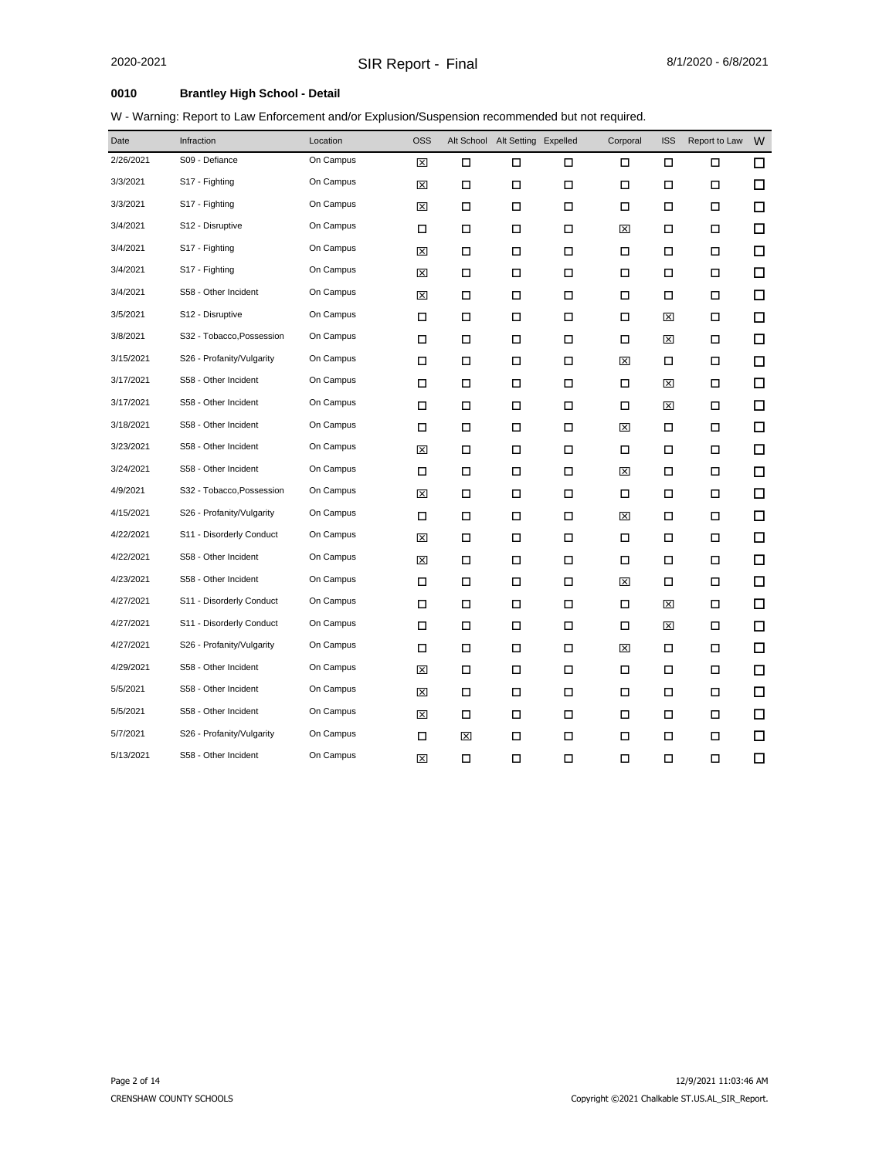# **0010 Brantley High School - Detail**

| Date      | Infraction                | Location  | <b>OSS</b> |        | Alt School Alt Setting Expelled |        | Corporal | <b>ISS</b> | Report to Law | W      |
|-----------|---------------------------|-----------|------------|--------|---------------------------------|--------|----------|------------|---------------|--------|
| 2/26/2021 | S09 - Defiance            | On Campus | ⊠          | □      | □                               | □      | □        | □          | □             | □      |
| 3/3/2021  | S17 - Fighting            | On Campus | ⊠          | $\Box$ | П                               | $\Box$ | Ω        | □          | $\Box$        | □      |
| 3/3/2021  | S17 - Fighting            | On Campus | ⊠          | □      | □                               | □      | □        | □          | □             | □      |
| 3/4/2021  | S12 - Disruptive          | On Campus | □          | □      | □                               | □      | 図        | □          | □             | □      |
| 3/4/2021  | S17 - Fighting            | On Campus | ⊠          | □      | Ω                               | □      | □        | □          | □             | □      |
| 3/4/2021  | S17 - Fighting            | On Campus | ⊠          | □      | Ω                               | $\Box$ | □        | □          | $\Box$        | □      |
| 3/4/2021  | S58 - Other Incident      | On Campus | ⊠          | П      | Ω                               | $\Box$ | □        | □          | □             | □      |
| 3/5/2021  | S12 - Disruptive          | On Campus | $\Box$     | □      | □                               | $\Box$ | □        | ⊠          | □             | □      |
| 3/8/2021  | S32 - Tobacco, Possession | On Campus | □          | □      | □                               | □      | □        | ⊠          | □             | $\Box$ |
| 3/15/2021 | S26 - Profanity/Vulgarity | On Campus | □          | □      | Ω                               | $\Box$ | 図        | □          | □             | □      |
| 3/17/2021 | S58 - Other Incident      | On Campus | □          | □      | Ω                               | $\Box$ | □        | ⊠          | $\Box$        | □      |
| 3/17/2021 | S58 - Other Incident      | On Campus | □          | □      | □                               | $\Box$ | □        | ⊠          | □             | □      |
| 3/18/2021 | S58 - Other Incident      | On Campus | □          | □      | П                               | □      | 区        | □          | □             | □      |
| 3/23/2021 | S58 - Other Incident      | On Campus | ⊠          | □      | □                               | □      | □        | □          | □             | □      |
| 3/24/2021 | S58 - Other Incident      | On Campus | □          | □      | □                               | □      | ⊠        | □          | □             | □      |
| 4/9/2021  | S32 - Tobacco, Possession | On Campus | ⊠          | □      | Ω                               | $\Box$ | □        | □          | □             | □      |
| 4/15/2021 | S26 - Profanity/Vulgarity | On Campus | □          | □      | □                               | □      | ⊠        | □          | □             | □      |
| 4/22/2021 | S11 - Disorderly Conduct  | On Campus | ⊠          | □      | □                               | □      | □        | □          | □             | $\Box$ |
| 4/22/2021 | S58 - Other Incident      | On Campus | ⊠          | □      | П                               | □      | □        | □          | □             | □      |
| 4/23/2021 | S58 - Other Incident      | On Campus | □          | □      | □                               | □      | ⊠        | □          | □             | □      |
| 4/27/2021 | S11 - Disorderly Conduct  | On Campus | $\Box$     | □      | П                               | $\Box$ | □        | ⊠          | □             | □      |
| 4/27/2021 | S11 - Disorderly Conduct  | On Campus | $\Box$     | $\Box$ | $\Box$                          | $\Box$ | □        | ⊠          | □             | □      |
| 4/27/2021 | S26 - Profanity/Vulgarity | On Campus | □          | □      | П                               | П      | ⊠        | □          | □             | □      |
| 4/29/2021 | S58 - Other Incident      | On Campus | ⊠          | □      | □                               | □      | □        | □          | □             | □      |
| 5/5/2021  | S58 - Other Incident      | On Campus | ⊠          | $\Box$ | Ω                               | $\Box$ | □        | □          | $\Box$        | □      |
| 5/5/2021  | S58 - Other Incident      | On Campus | ⊠          | П      | □                               | □      | □        | □          | □             | □      |
| 5/7/2021  | S26 - Profanity/Vulgarity | On Campus | □          | ⊠      | П                               | □      | □        | □          | □             | □      |
| 5/13/2021 | S58 - Other Incident      | On Campus | ⊠          | □      | П                               | □      | □        | □          | о             | $\Box$ |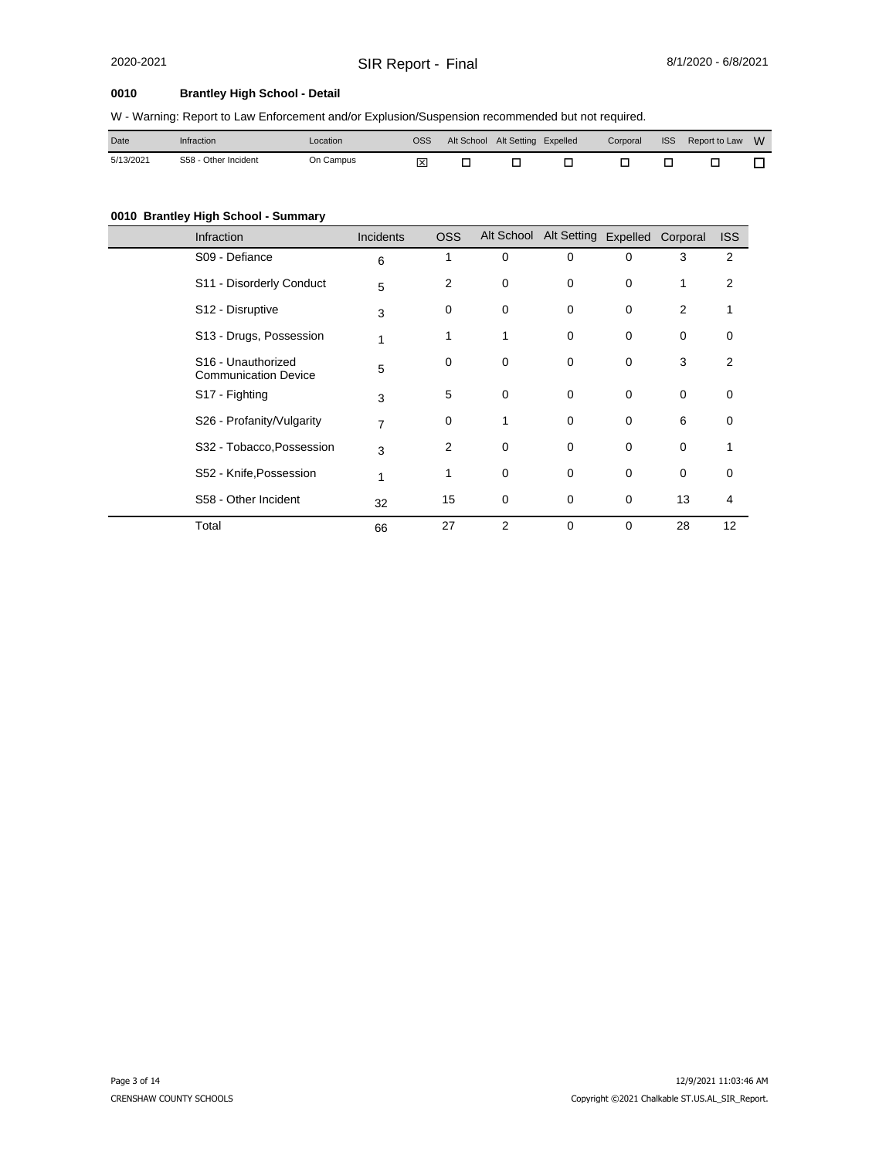# 2020-2021 SIR Report - Final 8/1/2020 - 6/8/2021

#### **0010 Brantley High School - Detail**

W - Warning: Report to Law Enforcement and/or Explusion/Suspension recommended but not required.

| Date      | Infraction           | Location  | oss | Alt School | Alt Setting Expelled | Corporal | <b>ISS</b> | Report to Law | W |
|-----------|----------------------|-----------|-----|------------|----------------------|----------|------------|---------------|---|
| 5/13/2021 | S58 - Other Incident | On Campus | ⊠   |            |                      |          |            |               |   |

#### **0010 Brantley High School - Summary**

| Infraction                                                    | Incidents | OSS      |   | Alt School Alt Setting Expelled Corporal |             |    | <b>ISS</b>     |
|---------------------------------------------------------------|-----------|----------|---|------------------------------------------|-------------|----|----------------|
| S09 - Defiance                                                | 6         | 1        | 0 | 0                                        | 0           | 3  | 2              |
| S11 - Disorderly Conduct                                      | 5         | 2        | 0 | $\mathbf 0$                              | $\mathbf 0$ | 1  | 2              |
| S12 - Disruptive                                              | 3         | 0        | 0 | 0                                        | 0           | 2  |                |
| S13 - Drugs, Possession                                       | 1         | 1        | 1 | 0                                        | 0           | 0  | 0              |
| S <sub>16</sub> - Unauthorized<br><b>Communication Device</b> | 5         | $\Omega$ | 0 | 0                                        | $\mathbf 0$ | 3  | 2              |
| S17 - Fighting                                                | 3         | 5        | 0 | 0                                        | 0           | 0  | $\Omega$       |
| S26 - Profanity/Vulgarity                                     | 7         | $\Omega$ |   | 0                                        | $\mathbf 0$ | 6  | 0              |
| S32 - Tobacco, Possession                                     | 3         | 2        | 0 | 0                                        | 0           | 0  |                |
| S52 - Knife, Possession                                       | 1         | 1        | 0 | 0                                        | $\mathbf 0$ | 0  | 0              |
| S58 - Other Incident                                          | 32        | 15       | 0 | 0                                        | 0           | 13 | $\overline{4}$ |
| Total                                                         | 66        | 27       | 2 | $\mathbf 0$                              | 0           | 28 | 12             |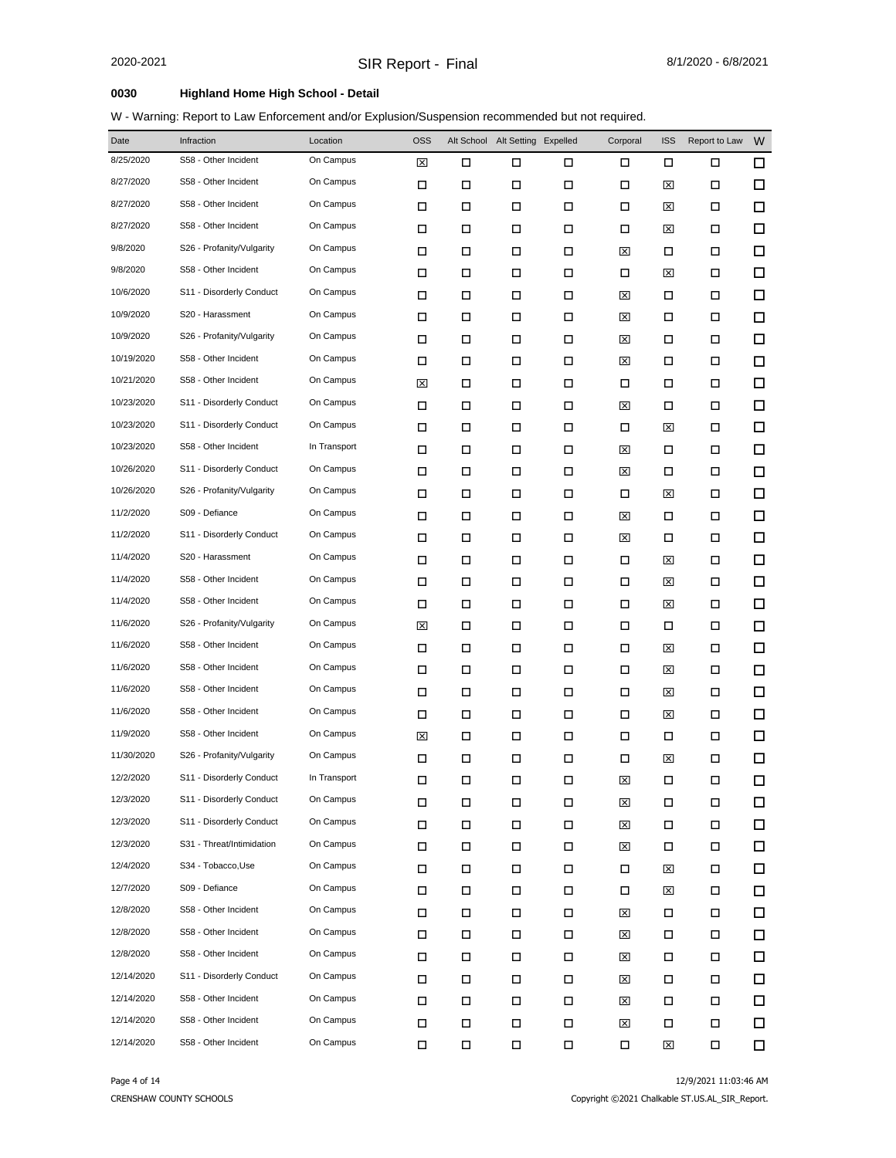| Date       | Infraction                | Location     | <b>OSS</b> |        | Alt School Alt Setting Expelled |        | Corporal | <b>ISS</b> | Report to Law | W      |
|------------|---------------------------|--------------|------------|--------|---------------------------------|--------|----------|------------|---------------|--------|
| 8/25/2020  | S58 - Other Incident      | On Campus    | ⊠          | □      | □                               | □      | □        | □          | □             | □      |
| 8/27/2020  | S58 - Other Incident      | On Campus    | □          | □      | □                               | □      | □        | ⊠          | □             | □      |
| 8/27/2020  | S58 - Other Incident      | On Campus    | □          | □      | П                               | □      | □        | ⊠          | □             | □      |
| 8/27/2020  | S58 - Other Incident      | On Campus    | □          | □      | □                               | П      | □        | ⊠          | □             | □      |
| 9/8/2020   | S26 - Profanity/Vulgarity | On Campus    | □          | □      | □                               | □      | ⊠        | □          | □             | □      |
| 9/8/2020   | S58 - Other Incident      | On Campus    | □          | □      | □                               | □      | □        | ⊠          | □             | □      |
| 10/6/2020  | S11 - Disorderly Conduct  | On Campus    | □          | □      | П                               | □      | ⊠        | □          | □             | □      |
| 10/9/2020  | S20 - Harassment          | On Campus    | □          | □      | □                               | □      | ⊠        | □          | □             | □      |
| 10/9/2020  | S26 - Profanity/Vulgarity | On Campus    | □          | □      | □                               | □      | ⊠        | □          | □             | □      |
| 10/19/2020 | S58 - Other Incident      | On Campus    | □          | □      | □                               | $\Box$ | ⊠        | □          | □             | □      |
| 10/21/2020 | S58 - Other Incident      | On Campus    | ⊠          | □      | П                               | □      | □        | □          | □             | □      |
| 10/23/2020 | S11 - Disorderly Conduct  | On Campus    | □          | □      | □                               | □      | ⊠        | □          | □             | □      |
| 10/23/2020 | S11 - Disorderly Conduct  | On Campus    | □          | □      | □                               | □      | □        | ⊠          | □             | □      |
| 10/23/2020 | S58 - Other Incident      | In Transport | □          | □      | □                               | □      | ⊠        | □          | □             | □      |
| 10/26/2020 | S11 - Disorderly Conduct  | On Campus    | □          | □      | □                               | □      | ⊠        | □          | □             | □      |
| 10/26/2020 | S26 - Profanity/Vulgarity | On Campus    | □          | □      | □                               | □      | □        | ⊠          | □             | □      |
| 11/2/2020  | S09 - Defiance            | On Campus    | □          | □      | □                               | □      | ⊠        | □          | □             | □      |
| 11/2/2020  | S11 - Disorderly Conduct  | On Campus    | □          | □      | □                               | □      | 図        | □          | □             | □      |
| 11/4/2020  | S20 - Harassment          | On Campus    | □          | □      | □                               | □      | □        | ⊠          | □             | □      |
| 11/4/2020  | S58 - Other Incident      | On Campus    | □          | □      | □                               | □      | □        | ⊠          | □             | □      |
| 11/4/2020  | S58 - Other Incident      | On Campus    | □          | □      | П                               | □      | □        | ⊠          | □             | □      |
| 11/6/2020  | S26 - Profanity/Vulgarity | On Campus    | ⊠          | □      | □                               | П      | □        | □          | □             | □      |
| 11/6/2020  | S58 - Other Incident      | On Campus    | □          | □      | П                               | □      | □        | ⊠          | □             | □      |
| 11/6/2020  | S58 - Other Incident      | On Campus    | □          | □      | □                               | □      | □        | ⊠          | □             | □      |
| 11/6/2020  | S58 - Other Incident      | On Campus    | □          | □      | П                               | □      | □        | ⊠          | □             | □      |
| 11/6/2020  | S58 - Other Incident      | On Campus    | □          | П      | П                               | $\Box$ | □        | ⊠          | □             | □      |
| 11/9/2020  | S58 - Other Incident      | On Campus    | ⊠          | □      | □                               | □      | □        | □          | □             | □      |
| 11/30/2020 | S26 - Profanity/Vulgarity | On Campus    | □          | □      | □                               | □      | □        | ⊠          | □             | □      |
| 12/2/2020  | S11 - Disorderly Conduct  | In Transport | □          | □      | □                               | □      | ⊠        | □          | □             | □      |
| 12/3/2020  | S11 - Disorderly Conduct  | On Campus    | П          | П      | □                               | □      | ⊠        | □          | 口             | □      |
| 12/3/2020  | S11 - Disorderly Conduct  | On Campus    | Π          | П      | П                               | $\Box$ | ⊠        | П          | П             | $\Box$ |
| 12/3/2020  | S31 - Threat/Intimidation | On Campus    | □          | □      | П                               | П      | ⊠        | □          | □             | $\Box$ |
| 12/4/2020  | S34 - Tobacco, Use        | On Campus    | П          | □      | □                               | □      | □        | ⊠          | □             | □      |
| 12/7/2020  | S09 - Defiance            | On Campus    | П          | □      | □                               | П      | □        | ⊠          | □             | □      |
| 12/8/2020  | S58 - Other Incident      | On Campus    | П          | □      | □                               | □      | ⊠        | □          | □             | □      |
| 12/8/2020  | S58 - Other Incident      | On Campus    | Π          | □      | П                               | П      | ⊠        | □          | □             | □      |
| 12/8/2020  | S58 - Other Incident      | On Campus    | П          | $\Box$ | □                               | □      | ⊠        | □          | П             | □      |
| 12/14/2020 | S11 - Disorderly Conduct  | On Campus    | П          | П      | П                               | Π      | ⊠        | □          | □             | □      |
| 12/14/2020 | S58 - Other Incident      | On Campus    | Π          | □      | П                               | $\Box$ | ⊠        | □          | □             | □      |
| 12/14/2020 | S58 - Other Incident      | On Campus    | Π          | □      | П                               | $\Box$ | ⊠        | □          | □             | □      |
| 12/14/2020 | S58 - Other Incident      | On Campus    | □          | П      | П                               | □      | П        | 図          | 口             | □      |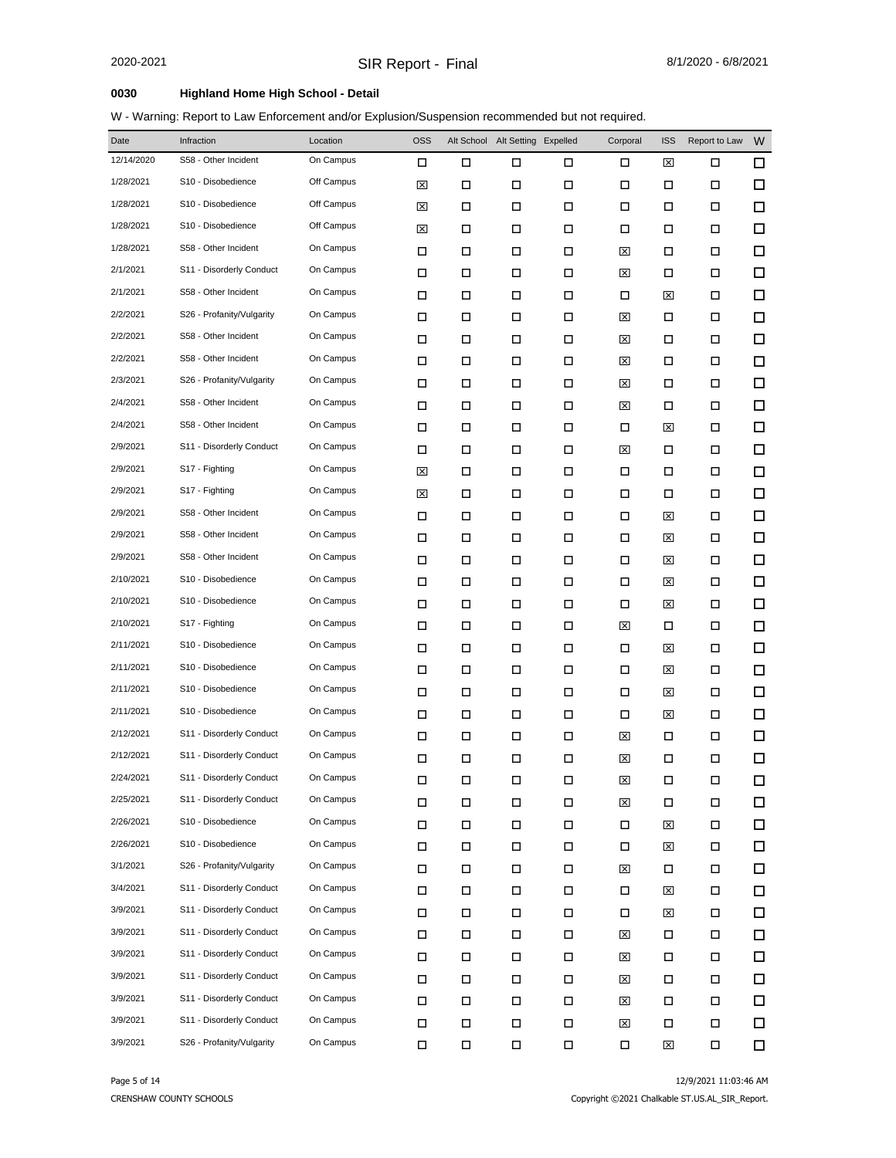| Date       | Infraction                | Location   | <b>OSS</b> |        | Alt School Alt Setting Expelled |        | Corporal | <b>ISS</b> | Report to Law | W |
|------------|---------------------------|------------|------------|--------|---------------------------------|--------|----------|------------|---------------|---|
| 12/14/2020 | S58 - Other Incident      | On Campus  | □          | □      | □                               | □      | □        | ⊠          | □             | □ |
| 1/28/2021  | S10 - Disobedience        | Off Campus | ⊠          | □      | □                               | □      | □        | □          | □             | □ |
| 1/28/2021  | S10 - Disobedience        | Off Campus | ⊠          | □      | П                               | $\Box$ | □        | □          | □             | □ |
| 1/28/2021  | S10 - Disobedience        | Off Campus | ⊠          | □      | □                               | □      | □        | □          | □             | □ |
| 1/28/2021  | S58 - Other Incident      | On Campus  | □          | □      | П                               | □      | ⊠        | □          | □             | □ |
| 2/1/2021   | S11 - Disorderly Conduct  | On Campus  | □          | □      | □                               | □      | ⊠        | □          | □             | □ |
| 2/1/2021   | S58 - Other Incident      | On Campus  | □          | □      | П                               | □      | □        | ⊠          | □             | □ |
| 2/2/2021   | S26 - Profanity/Vulgarity | On Campus  | □          | □      | □                               | □      | ⊠        | □          | □             | □ |
| 2/2/2021   | S58 - Other Incident      | On Campus  | □          | □      | П                               | □      | ⊠        | □          | □             | □ |
| 2/2/2021   | S58 - Other Incident      | On Campus  | □          | □      | □                               | □      | ⊠        | □          | □             | □ |
| 2/3/2021   | S26 - Profanity/Vulgarity | On Campus  | □          | □      | □                               | □      | ⊠        | □          | □             | □ |
| 2/4/2021   | S58 - Other Incident      | On Campus  | □          | □      | □                               | □      | ⊠        | □          | □             | □ |
| 2/4/2021   | S58 - Other Incident      | On Campus  | □          | □      | □                               | □      | □        | ⊠          | □             | □ |
| 2/9/2021   | S11 - Disorderly Conduct  | On Campus  | □          | □      | □                               | □      | ⊠        | □          | □             | □ |
| 2/9/2021   | S17 - Fighting            | On Campus  | ⊠          | □      | □                               | □      | □        | □          | □             | □ |
| 2/9/2021   | S17 - Fighting            | On Campus  | ⊠          | □      | □                               | □      | □        | □          | □             | □ |
| 2/9/2021   | S58 - Other Incident      | On Campus  | □          | □      | □                               | □      | □        | ⊠          | □             | □ |
| 2/9/2021   | S58 - Other Incident      | On Campus  | □          | □      | □                               | □      | □        | ⊠          | □             | □ |
| 2/9/2021   | S58 - Other Incident      | On Campus  | □          | □      | □                               | □      | □        | ⊠          | □             | □ |
| 2/10/2021  | S10 - Disobedience        | On Campus  | □          | □      | □                               | □      | □        | ⊠          | □             | □ |
| 2/10/2021  | S10 - Disobedience        | On Campus  | □          | □      | П                               | □      | □        | ⊠          | □             | □ |
| 2/10/2021  | S17 - Fighting            | On Campus  | □          | □      | □                               | □      | ⊠        | □          | □             | □ |
| 2/11/2021  | S10 - Disobedience        | On Campus  | □          | □      | □                               | □      | □        | ⊠          | □             | □ |
| 2/11/2021  | S10 - Disobedience        | On Campus  | □          | □      | □                               | □      | □        | ⊠          | □             | □ |
| 2/11/2021  | S10 - Disobedience        | On Campus  | □          | □      | □                               | □      | □        | ⊠          | □             | □ |
| 2/11/2021  | S10 - Disobedience        | On Campus  | □          | $\Box$ | П                               | $\Box$ | □        | ⊠          | □             | □ |
| 2/12/2021  | S11 - Disorderly Conduct  | On Campus  | □          | □      | □                               | □      | ⊠        | □          | □             | □ |
| 2/12/2021  | S11 - Disorderly Conduct  | On Campus  | □          | □      | □                               | □      | ⊠        | □          | □             | □ |
| 2/24/2021  | S11 - Disorderly Conduct  | On Campus  | □          | □      | □                               | □      | ⊠        | □          | □             | □ |
| 2/25/2021  | S11 - Disorderly Conduct  | On Campus  | □          | □      | □                               | □      | ⊠        | □          | 口             | □ |
| 2/26/2021  | S10 - Disobedience        | On Campus  | П          | □      | П                               | $\Box$ | □        | ⊠          | П             | □ |
| 2/26/2021  | S10 - Disobedience        | On Campus  | П          | □      | П                               | $\Box$ | □        | ⊠          | □             | □ |
| 3/1/2021   | S26 - Profanity/Vulgarity | On Campus  | □          | □      | □                               | □      | ⊠        | □          | □             | □ |
| 3/4/2021   | S11 - Disorderly Conduct  | On Campus  | □          | □      | □                               | П      | □        | ⊠          | □             | □ |
| 3/9/2021   | S11 - Disorderly Conduct  | On Campus  | П          | □      | П                               | П      | □        | ⊠          | □             | □ |
| 3/9/2021   | S11 - Disorderly Conduct  | On Campus  | П          | □      | □                               | П      | ⊠        | □          | □             | □ |
| 3/9/2021   | S11 - Disorderly Conduct  | On Campus  | П          | □      | П                               | П      | ⊠        | □          | П             | □ |
| 3/9/2021   | S11 - Disorderly Conduct  | On Campus  | □          | □      | П                               | П      | ⊠        | □          | □             | □ |
| 3/9/2021   | S11 - Disorderly Conduct  | On Campus  | П          | □      | П                               | П      | ⊠        | □          | □             | □ |
| 3/9/2021   | S11 - Disorderly Conduct  | On Campus  | Π          | □      | $\Box$                          | $\Box$ | ⊠        | □          | □             | □ |
| 3/9/2021   | S26 - Profanity/Vulgarity | On Campus  | □          | □      | П                               | $\Box$ | П        | 図          | Ω             | □ |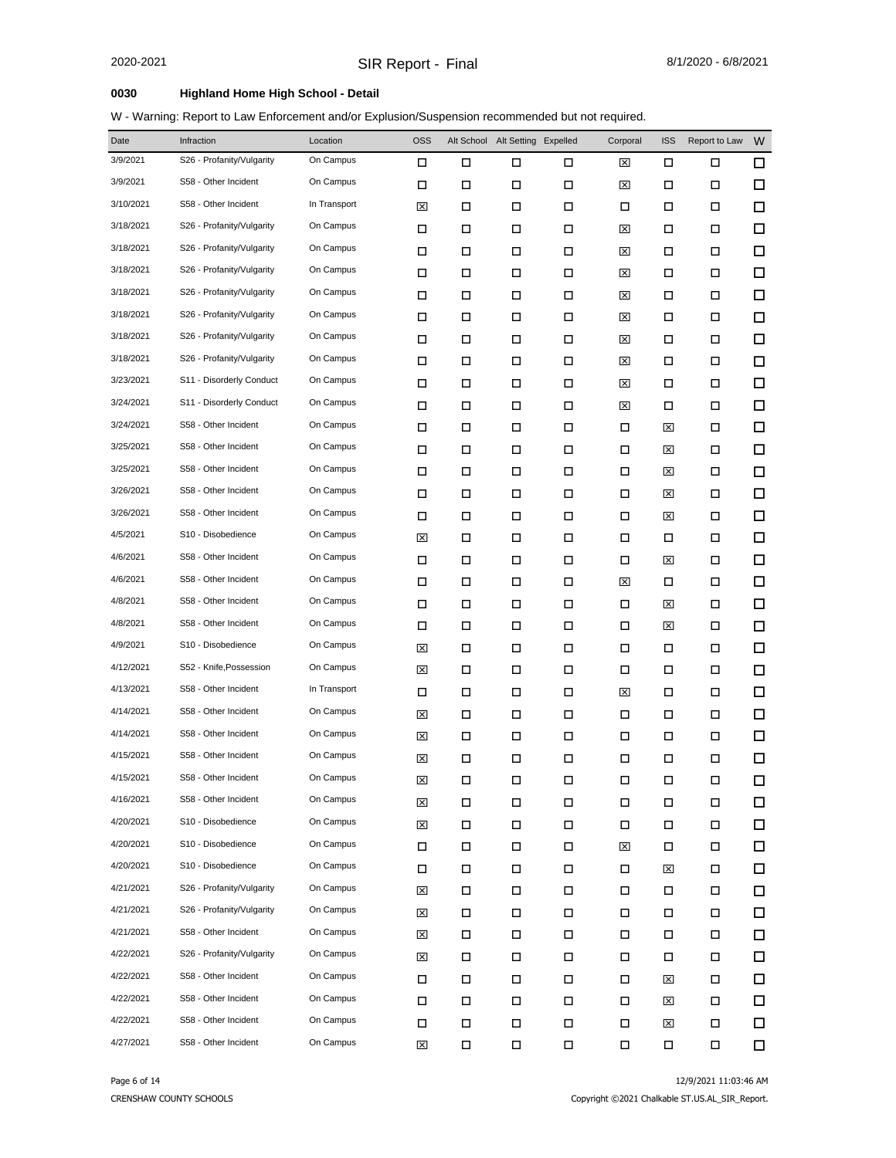| Date      | Infraction                | Location     | <b>OSS</b> |   | Alt School Alt Setting Expelled |        | Corporal | <b>ISS</b> | Report to Law | W      |
|-----------|---------------------------|--------------|------------|---|---------------------------------|--------|----------|------------|---------------|--------|
| 3/9/2021  | S26 - Profanity/Vulgarity | On Campus    | □          | □ | □                               | □      | ⊠        | □          | □             | □      |
| 3/9/2021  | S58 - Other Incident      | On Campus    | □          | □ | $\Box$                          | $\Box$ | ⊠        | П          | □             | □      |
| 3/10/2021 | S58 - Other Incident      | In Transport | ⊠          | □ | П                               | □      | □        | П          | □             | □      |
| 3/18/2021 | S26 - Profanity/Vulgarity | On Campus    | □          | □ | □                               | □      | ⊠        | □          | □             | □      |
| 3/18/2021 | S26 - Profanity/Vulgarity | On Campus    | □          | □ | □                               | □      | ⊠        | □          | □             | $\Box$ |
| 3/18/2021 | S26 - Profanity/Vulgarity | On Campus    | □          | □ | □                               | □      | ⊠        | П          | □             | □      |
| 3/18/2021 | S26 - Profanity/Vulgarity | On Campus    | □          | □ | □                               | □      | ⊠        | П          | □             | $\Box$ |
| 3/18/2021 | S26 - Profanity/Vulgarity | On Campus    | □          | □ | □                               | □      | ⊠        | П          | □             | □      |
| 3/18/2021 | S26 - Profanity/Vulgarity | On Campus    | □          | □ | □                               | □      | ⊠        | □          | □             | □      |
| 3/18/2021 | S26 - Profanity/Vulgarity | On Campus    | □          | □ | □                               | □      | ⊠        | П          | □             | $\Box$ |
| 3/23/2021 | S11 - Disorderly Conduct  | On Campus    | □          | □ | П                               | □      | ⊠        | □          | □             | □      |
| 3/24/2021 | S11 - Disorderly Conduct  | On Campus    | □          | □ | □                               | □      | ⊠        | □          | □             | □      |
| 3/24/2021 | S58 - Other Incident      | On Campus    | □          | □ | П                               | □      | □        | ⊠          | □             | □      |
| 3/25/2021 | S58 - Other Incident      | On Campus    | □          | □ | □                               | $\Box$ | □        | ⊠          | □             | □      |
| 3/25/2021 | S58 - Other Incident      | On Campus    | □          | □ | □                               | □      | □        | ⊠          | □             | □      |
| 3/26/2021 | S58 - Other Incident      | On Campus    | □          | □ | □                               | □      | □        | ⊠          | 口             | □      |
| 3/26/2021 | S58 - Other Incident      | On Campus    | □          | □ | П                               | $\Box$ | □        | ⊠          | □             | □      |
| 4/5/2021  | S10 - Disobedience        | On Campus    | ⊠          | □ | П                               | $\Box$ | □        | □          | □             | $\Box$ |
| 4/6/2021  | S58 - Other Incident      | On Campus    | □          | □ | □                               | $\Box$ | □        | ⊠          | □             | □      |
| 4/6/2021  | S58 - Other Incident      | On Campus    | □          | □ | □                               | □      | ⊠        | □          | □             | □      |
| 4/8/2021  | S58 - Other Incident      | On Campus    | □          | □ | □                               | $\Box$ | □        | ⊠          | □             | □      |
| 4/8/2021  | S58 - Other Incident      | On Campus    | □          | □ | □                               | □      | □        | ⊠          | □             | $\Box$ |
| 4/9/2021  | S10 - Disobedience        | On Campus    | ⊠          | □ | □                               | □      | □        | □          | □             | □      |
| 4/12/2021 | S52 - Knife, Possession   | On Campus    | ⊠          | □ | □                               | □      | □        | □          | □             | $\Box$ |
| 4/13/2021 | S58 - Other Incident      | In Transport | □          | □ | □                               | □      | ⊠        | □          | □             | □      |
| 4/14/2021 | S58 - Other Incident      | On Campus    | ⊠          | □ | □                               | П      | □        | □          | □             | □      |
| 4/14/2021 | S58 - Other Incident      | On Campus    | ⊠          | □ | □                               | □      | □        | □          | □             | □      |
| 4/15/2021 | S58 - Other Incident      | On Campus    | ⊠          | □ | П                               | □      | □        | □          | □             | □      |
| 4/15/2021 | S58 - Other Incident      | On Campus    | ⊠          | □ | □                               | □      | □        | □          | □             | □      |
| 4/16/2021 | S58 - Other Incident      | On Campus    | ⊠          | □ | П                               | П      | □        | □          | П             | □      |
| 4/20/2021 | S10 - Disobedience        | On Campus    | ⊠          | □ | П                               | $\Box$ | □        | П          | П             | □      |
| 4/20/2021 | S10 - Disobedience        | On Campus    | □          | □ | П                               | П      | ⊠        | □          | 口             | □      |
| 4/20/2021 | S10 - Disobedience        | On Campus    | □          | □ | П                               | П      | □        | ⊠          | 口             | □      |
| 4/21/2021 | S26 - Profanity/Vulgarity | On Campus    | ⊠          | □ | П                               | П      | □        | $\Box$     | □             | □      |
| 4/21/2021 | S26 - Profanity/Vulgarity | On Campus    | ⊠          | □ | П                               | $\Box$ | □        | □          | □             | □      |
| 4/21/2021 | S58 - Other Incident      | On Campus    | ⊠          | □ | П                               | П      | П        | □          | □             | $\Box$ |
| 4/22/2021 | S26 - Profanity/Vulgarity | On Campus    | ⊠          | □ | П                               | □      | □        | □          | □             | □      |
| 4/22/2021 | S58 - Other Incident      | On Campus    | □          | □ | П                               | П      | □        | ⊠          | □             | $\Box$ |
| 4/22/2021 | S58 - Other Incident      | On Campus    | □          | □ | П                               | П      | П        | ⊠          | □             | □      |
| 4/22/2021 | S58 - Other Incident      | On Campus    | □          | □ | П                               | $\Box$ | □        | ⊠          | Д             | $\Box$ |
| 4/27/2021 | S58 - Other Incident      | On Campus    | ⊠          | П | П                               | $\Box$ | П        | □          | Д             | □      |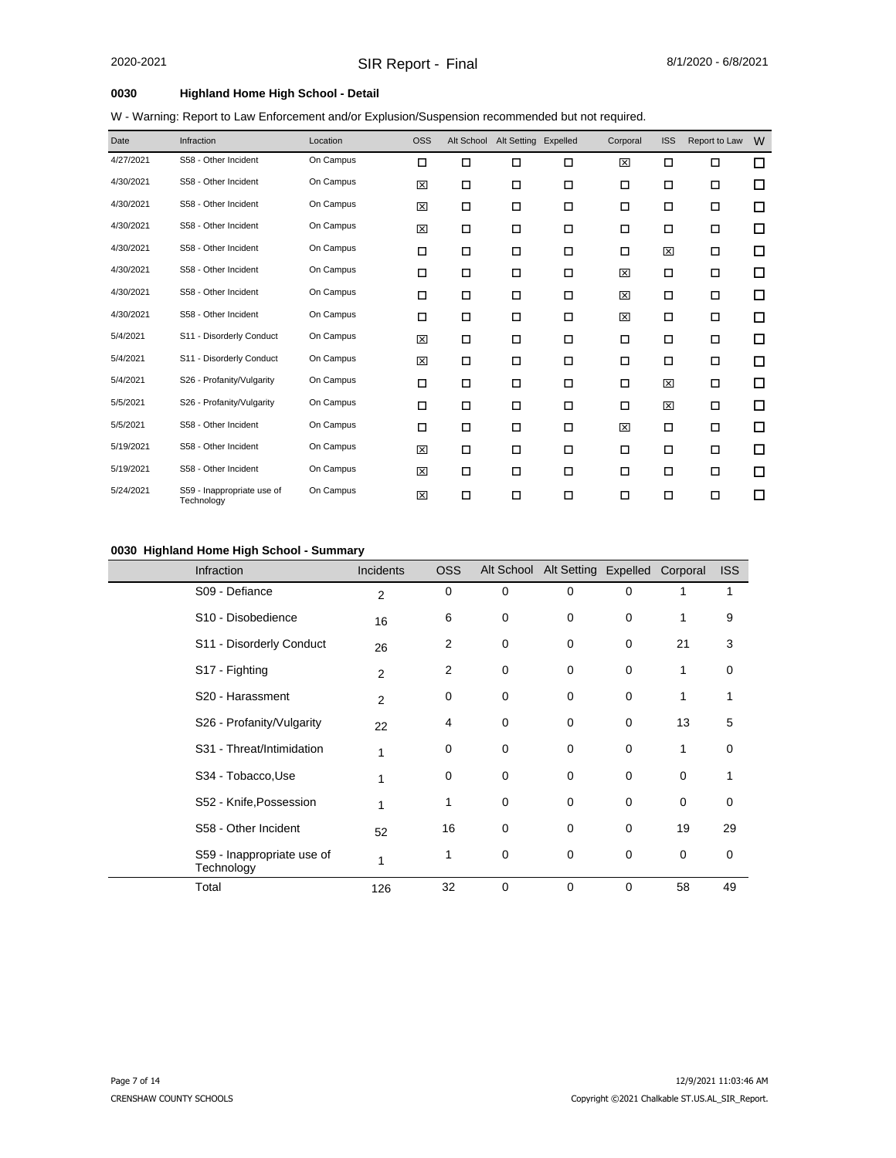W - Warning: Report to Law Enforcement and/or Explusion/Suspension recommended but not required.

| Date      | Infraction                               | Location  | <b>OSS</b> | Alt School | Alt Setting Expelled |        | Corporal | <b>ISS</b> | Report to Law | W      |
|-----------|------------------------------------------|-----------|------------|------------|----------------------|--------|----------|------------|---------------|--------|
| 4/27/2021 | S58 - Other Incident                     | On Campus | □          | □          | $\Box$               | □      | ⊠        | □          | □             | □      |
| 4/30/2021 | S58 - Other Incident                     | On Campus | 図          | □          | П                    | □      | □        | □          | □             | □      |
| 4/30/2021 | S58 - Other Incident                     | On Campus | ⊠          | □          | $\Box$               | $\Box$ | $\Box$   | □          | $\Box$        | □      |
| 4/30/2021 | S58 - Other Incident                     | On Campus | 図          | □          | $\Box$               | $\Box$ | □        | □          | $\Box$        | □      |
| 4/30/2021 | S58 - Other Incident                     | On Campus | □          | $\Box$     | $\Box$               | $\Box$ | $\Box$   | 図          | П             | □      |
| 4/30/2021 | S58 - Other Incident                     | On Campus | □          | □          | $\Box$               | $\Box$ | 区        | □          | П             | □      |
| 4/30/2021 | S58 - Other Incident                     | On Campus | □          | □          | $\Box$               | □      | 区        | □          | $\Box$        | □      |
| 4/30/2021 | S58 - Other Incident                     | On Campus | □          | □          | $\Box$               | □      | 図        | □          | □             | □      |
| 5/4/2021  | S11 - Disorderly Conduct                 | On Campus | 図          | □          | $\Box$               | □      | □        | □          | $\Box$        | $\Box$ |
| 5/4/2021  | S11 - Disorderly Conduct                 | On Campus | 図          | □          | $\Box$               | $\Box$ | □        | □          | $\Box$        | □      |
| 5/4/2021  | S26 - Profanity/Vulgarity                | On Campus | □          | □          | $\Box$               | □      | □        | 図          | $\Box$        | □      |
| 5/5/2021  | S26 - Profanity/Vulgarity                | On Campus | □          | □          | П                    | □      | □        | 図          | □             | □      |
| 5/5/2021  | S58 - Other Incident                     | On Campus | □          | □          | $\Box$               | □      | 図        | □          | □             | □      |
| 5/19/2021 | S58 - Other Incident                     | On Campus | ⊠          | □          | $\Box$               | □      | □        | □          | □             | □      |
| 5/19/2021 | S58 - Other Incident                     | On Campus | 図          | □          | $\Box$               | $\Box$ | □        | □          | $\Box$        | □      |
| 5/24/2021 | S59 - Inappropriate use of<br>Technology | On Campus | 図          | □          | $\Box$               | □      | □        | □          | □             | □      |

#### **0030 Highland Home High School - Summary**

| <b>Infraction</b>                        | Incidents      | <b>OSS</b>     |             | Alt School Alt Setting Expelled |          | Corporal    | <b>ISS</b> |
|------------------------------------------|----------------|----------------|-------------|---------------------------------|----------|-------------|------------|
| S09 - Defiance                           | 2              | 0              | $\mathbf 0$ | $\mathbf 0$                     | $\Omega$ |             |            |
| S10 - Disobedience                       | 16             | 6              | 0           | 0                               | $\Omega$ | 1           | 9          |
| S11 - Disorderly Conduct                 | 26             | 2              | 0           | 0                               | $\Omega$ | 21          | 3          |
| S17 - Fighting                           | $\overline{2}$ | $\overline{2}$ | $\mathbf 0$ | 0                               | $\Omega$ | 1           | 0          |
| S20 - Harassment                         | 2              | 0              | 0           | $\mathbf 0$                     | $\Omega$ | 1           | 1          |
| S26 - Profanity/Vulgarity                | 22             | 4              | 0           | $\mathbf 0$                     | $\Omega$ | 13          | 5          |
| S31 - Threat/Intimidation                | 1              | 0              | $\mathbf 0$ | 0                               | $\Omega$ | 1           | 0          |
| S34 - Tobacco, Use                       |                | 0              | 0           | 0                               | 0        | 0           | 1          |
| S52 - Knife, Possession                  |                | 1              | 0           | 0                               | 0        | $\mathbf 0$ | 0          |
| S58 - Other Incident                     | 52             | 16             | 0           | 0                               | $\Omega$ | 19          | 29         |
| S59 - Inappropriate use of<br>Technology | 1              | 1              | 0           | 0                               | $\Omega$ | $\mathbf 0$ | 0          |
| Total                                    | 126            | 32             | $\mathbf 0$ | 0                               | 0        | 58          | 49         |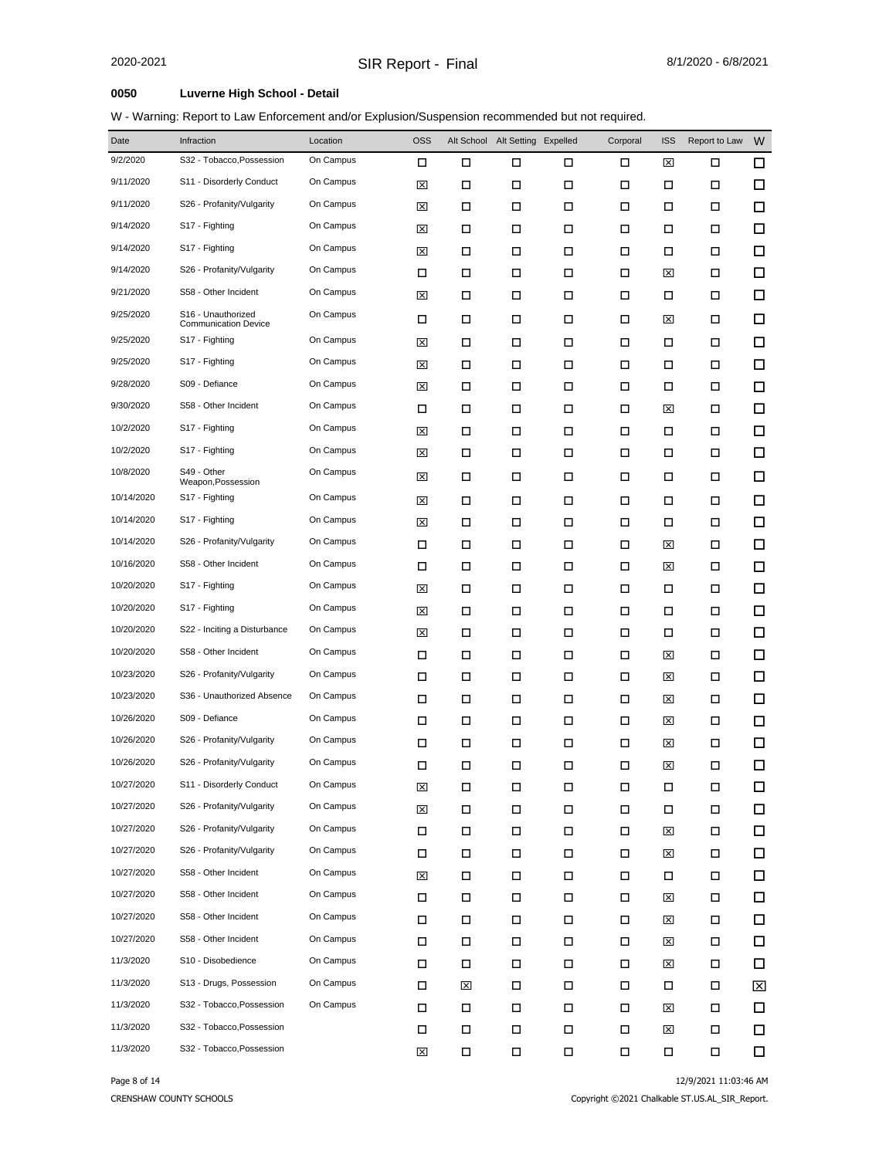W - Warning: Report to Law Enforcement and/or Explusion/Suspension recommended but not required.

| Date       | Infraction                                        | Location  | <b>OSS</b>  |        | Alt School Alt Setting Expelled |        | Corporal | <b>ISS</b> | Report to Law | W      |
|------------|---------------------------------------------------|-----------|-------------|--------|---------------------------------|--------|----------|------------|---------------|--------|
| 9/2/2020   | S32 - Tobacco, Possession                         | On Campus | □           | □      | □                               | □      | □        | ⊠          | □             | $\Box$ |
| 9/11/2020  | S11 - Disorderly Conduct                          | On Campus | ⊠           | □      | □                               | □      | □        | □          | □             | □      |
| 9/11/2020  | S26 - Profanity/Vulgarity                         | On Campus | ⊠           | □      | □                               | □      | □        | □          | □             | □      |
| 9/14/2020  | S17 - Fighting                                    | On Campus | ⊠           | □      | □                               | □      | □        | □          | □             | □      |
| 9/14/2020  | S17 - Fighting                                    | On Campus | ⊠           | □      | □                               | □      | □        | □          | □             | □      |
| 9/14/2020  | S26 - Profanity/Vulgarity                         | On Campus | □           | □      | □                               | □      | □        | ⊠          | □             | □      |
| 9/21/2020  | S58 - Other Incident                              | On Campus | ⊠           | □      | □                               | □      | □        | □          | □             | □      |
| 9/25/2020  | S16 - Unauthorized<br><b>Communication Device</b> | On Campus | □           | □      | □                               | □      | □        | ⊠          | □             | □      |
| 9/25/2020  | S17 - Fighting                                    | On Campus | ⊠           | □      | □                               | □      | □        | □          | □             | □      |
| 9/25/2020  | S17 - Fighting                                    | On Campus | ⊠           | □      | □                               | □      | □        | □          | □             | □      |
| 9/28/2020  | S09 - Defiance                                    | On Campus | ⊠           | □      | □                               | □      | □        | □          | □             | □      |
| 9/30/2020  | S58 - Other Incident                              | On Campus | □           | □      | □                               | □      | □        | ⊠          | □             | □      |
| 10/2/2020  | S17 - Fighting                                    | On Campus | ⊠           | □      | □                               | □      | □        | □          | □             | □      |
| 10/2/2020  | S17 - Fighting                                    | On Campus | ⊠           | □      | □                               | □      | □        | □          | □             | □      |
| 10/8/2020  | S49 - Other<br>Weapon, Possession                 | On Campus | ⊠           | □      | □                               | □      | □        | □          | □             | □      |
| 10/14/2020 | S17 - Fighting                                    | On Campus | ⊠           | □      | □                               | □      | □        | □          | □             | □      |
| 10/14/2020 | S17 - Fighting                                    | On Campus | ⊠           | □      | □                               | □      | □        | □          | □             | □      |
| 10/14/2020 | S26 - Profanity/Vulgarity                         | On Campus | □           | □      | □                               | □      | □        | ⊠          | □             | □      |
| 10/16/2020 | S58 - Other Incident                              | On Campus | □           | □      | □                               | □      | □        | ⊠          | □             | □      |
| 10/20/2020 | S17 - Fighting                                    | On Campus | ⊠           | □      | □                               | □      | □        | □          | □             | □      |
| 10/20/2020 | S17 - Fighting                                    | On Campus | ⊠           | □      | □                               | □      | □        | □          | □             | □      |
| 10/20/2020 | S22 - Inciting a Disturbance                      | On Campus | ⊠           | □      | □                               | □      | □        | □          | □             | □      |
| 10/20/2020 | S58 - Other Incident                              | On Campus | □           | □      | □                               | □      | □        | ⊠          | □             | □      |
| 10/23/2020 | S26 - Profanity/Vulgarity                         | On Campus | □           | □      | □                               | □      | □        | ⊠          | □             | □      |
| 10/23/2020 | S36 - Unauthorized Absence                        | On Campus | □           | □      | □                               | □      | □        | ⊠          | □             | □      |
| 10/26/2020 | S09 - Defiance                                    | On Campus | □           | □      | □                               | □      | □        | ⊠          | □             | □      |
| 10/26/2020 | S26 - Profanity/Vulgarity                         | On Campus | □           | □      | □                               | □      | □        | ⊠          | □             | □      |
| 10/26/2020 | S26 - Profanity/Vulgarity                         | On Campus | □           | □      | □                               | □      | □        | ⊠          | □             | □      |
| 10/27/2020 | S11 - Disorderly Conduct                          | On Campus | $\boxtimes$ | $\Box$ | $\Box$                          | $\Box$ | $\Box$   | $\Box$     | $\Box$        | $\Box$ |
| 10/27/2020 | S26 - Profanity/Vulgarity                         | On Campus | ⊠           | □      | □                               | □      | □        | □          | □             | □      |
| 10/27/2020 | S26 - Profanity/Vulgarity                         | On Campus | П           | П      | П                               | $\Box$ | □        | ⊠          | 口             | □      |
| 10/27/2020 | S26 - Profanity/Vulgarity                         | On Campus | □           | □      | П                               | П      | □        | ⊠          | Д             | □      |
| 10/27/2020 | S58 - Other Incident                              | On Campus | ⊠           | □      | П                               | П      | □        | □          | □             | 口      |
| 10/27/2020 | S58 - Other Incident                              | On Campus | П           | □      | П                               | $\Box$ | П        | ⊠          | Д             | □      |
| 10/27/2020 | S58 - Other Incident                              | On Campus | □           | □      | □                               | П      | □        | ⊠          | П             | □      |
| 10/27/2020 | S58 - Other Incident                              | On Campus | П           | □      | $\Box$                          | $\Box$ | □        | ⊠          | □             | □      |
| 11/3/2020  | S10 - Disobedience                                | On Campus | П           | □      | П                               | П      | □        | ⊠          | □             | 口      |
| 11/3/2020  | S13 - Drugs, Possession                           | On Campus | П           | ⊠      | $\Box$                          | $\Box$ | □        | □          | □             | ⊠      |
| 11/3/2020  | S32 - Tobacco, Possession                         | On Campus | П           | □      | П                               | П      | □        | ⊠          | □             | □      |
| 11/3/2020  | S32 - Tobacco, Possession                         |           | П           | □      | $\Box$                          | $\Box$ | □        | ⊠          | □             | □      |
| 11/3/2020  | S32 - Tobacco, Possession                         |           | $\boxtimes$ | $\Box$ | П                               | $\Box$ | П        | $\Box$     | $\Box$        | $\Box$ |

CRENSHAW COUNTY SCHOOLS

Page 8 of 14 22/9/2021 11:03:46 AM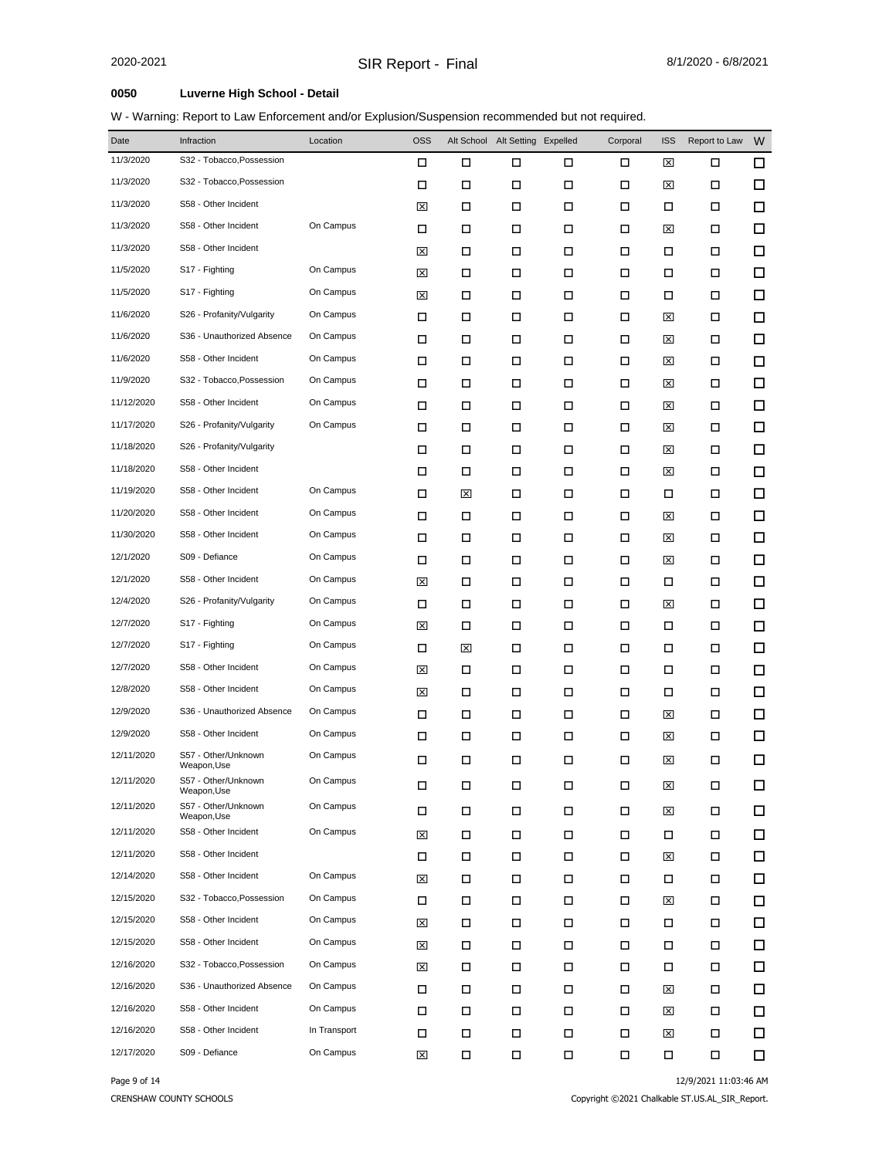W - Warning: Report to Law Enforcement and/or Explusion/Suspension recommended but not required.

| Date       | Infraction                         | Location     | <b>OSS</b> |        | Alt School Alt Setting Expelled |        | Corporal | <b>ISS</b> | Report to Law | W |
|------------|------------------------------------|--------------|------------|--------|---------------------------------|--------|----------|------------|---------------|---|
| 11/3/2020  | S32 - Tobacco, Possession          |              | □          | □      | □                               | □      | □        | ⊠          | □             | □ |
| 11/3/2020  | S32 - Tobacco, Possession          |              | □          | □      | □                               | $\Box$ | □        | ⊠          | □             | □ |
| 11/3/2020  | S58 - Other Incident               |              | ⊠          | □      | □                               | □      | □        | □          | □             | □ |
| 11/3/2020  | S58 - Other Incident               | On Campus    | □          | □      | □                               | □      | □        | ⊠          | □             | □ |
| 11/3/2020  | S58 - Other Incident               |              | ⊠          | □      | □                               | □      | □        | □          | □             | □ |
| 11/5/2020  | S17 - Fighting                     | On Campus    | ⊠          | □      | □                               | □      | □        | □          | □             | □ |
| 11/5/2020  | S17 - Fighting                     | On Campus    | ⊠          | □      | □                               | □      | □        | □          | □             | □ |
| 11/6/2020  | S26 - Profanity/Vulgarity          | On Campus    | □          | □      | □                               | □      | □        | ⊠          | □             | □ |
| 11/6/2020  | S36 - Unauthorized Absence         | On Campus    | □          | □      | □                               | □      | □        | ⊠          | □             | □ |
| 11/6/2020  | S58 - Other Incident               | On Campus    | □          | □      | □                               | □      | □        | ⊠          | □             | □ |
| 11/9/2020  | S32 - Tobacco, Possession          | On Campus    | □          | П      | □                               | □      | □        | ⊠          | □             | □ |
| 11/12/2020 | S58 - Other Incident               | On Campus    | □          | □      | □                               | □      | □        | ⊠          | □             | □ |
| 11/17/2020 | S26 - Profanity/Vulgarity          | On Campus    | □          | П      | □                               | □      | □        | ⊠          | □             | □ |
| 11/18/2020 | S26 - Profanity/Vulgarity          |              | □          | □      | □                               | □      | □        | ⊠          | □             | □ |
| 11/18/2020 | S58 - Other Incident               |              | □          | □      | □                               | □      | □        | ⊠          | □             | □ |
| 11/19/2020 | S58 - Other Incident               | On Campus    | □          | ⊠      | □                               | □      | □        | □          | □             | □ |
| 11/20/2020 | S58 - Other Incident               | On Campus    | □          | □      | □                               | □      | □        | ⊠          | □             | □ |
| 11/30/2020 | S58 - Other Incident               | On Campus    | □          | □      | □                               | □      | □        | ⊠          | □             | □ |
| 12/1/2020  | S09 - Defiance                     | On Campus    | □          | □      | □                               | □      | □        | ⊠          | □             | □ |
| 12/1/2020  | S58 - Other Incident               | On Campus    | ⊠          | □      | □                               | □      | □        | □          | □             | □ |
| 12/4/2020  | S26 - Profanity/Vulgarity          | On Campus    | □          | П      | □                               | □      | □        | ⊠          | □             | □ |
| 12/7/2020  | S17 - Fighting                     | On Campus    | ⊠          | □      | □                               | □      | □        | □          | □             | □ |
| 12/7/2020  | S17 - Fighting                     | On Campus    | □          | ⊠      | □                               | □      | □        | □          | □             | □ |
| 12/7/2020  | S58 - Other Incident               | On Campus    | ⊠          | □      | □                               | □      | □        | □          | □             | □ |
| 12/8/2020  | S58 - Other Incident               | On Campus    | ⊠          | □      | □                               | □      | □        | □          | □             | □ |
| 12/9/2020  | S36 - Unauthorized Absence         | On Campus    | □          | □      | □                               | □      | □        | ⊠          | □             | □ |
| 12/9/2020  | S58 - Other Incident               | On Campus    | □          | □      | □                               | □      | □        | ⊠          | □             | □ |
| 12/11/2020 | S57 - Other/Unknown<br>Weapon, Use | On Campus    | □          | □      | П                               | □      | □        | ⊠          | □             | □ |
| 12/11/2020 | S57 - Other/Unknown<br>Weapon,Use  | On Campus    | □          | □      | □                               | □      | □        | 図          | □             | □ |
| 12/11/2020 | S57 - Other/Unknown<br>Weapon, Use | On Campus    | Π          | □      | П                               | □      | □        | ⊠          | □             | □ |
| 12/11/2020 | S58 - Other Incident               | On Campus    | ⊠          | $\Box$ | □                               | $\Box$ | П        | □          | □             | □ |
| 12/11/2020 | S58 - Other Incident               |              | П          | □      | П                               | П      | □        | ⊠          | □             | □ |
| 12/14/2020 | S58 - Other Incident               | On Campus    | ×          | □      | □                               | □      | □        | □          | □             | □ |
| 12/15/2020 | S32 - Tobacco, Possession          | On Campus    | П          | □      | □                               | □      | □        | ⊠          | □             | □ |
| 12/15/2020 | S58 - Other Incident               | On Campus    | ⊠          | □      | □                               | □      | □        | □          | □             | □ |
| 12/15/2020 | S58 - Other Incident               | On Campus    | ⊠          | □      | □                               | □      | □        | □          | □             | □ |
| 12/16/2020 | S32 - Tobacco, Possession          | On Campus    | ⊠          | □      | □                               | □      | □        | □          | □             | □ |
| 12/16/2020 | S36 - Unauthorized Absence         | On Campus    | □          | □      | □                               | □      | □        | ⊠          | □             | □ |
| 12/16/2020 | S58 - Other Incident               | On Campus    | □          | □      | □                               | □      | □        | ⊠          | □             | □ |
| 12/16/2020 | S58 - Other Incident               | In Transport | □          | □      | □                               | □      | □        | ⊠          | □             | □ |
| 12/17/2020 | S09 - Defiance                     | On Campus    | ⊠          | □      | □                               | □      | □        | □          | □             | □ |

CRENSHAW COUNTY SCHOOLS

Page 9 of 14 22/9/2021 11:03:46 AM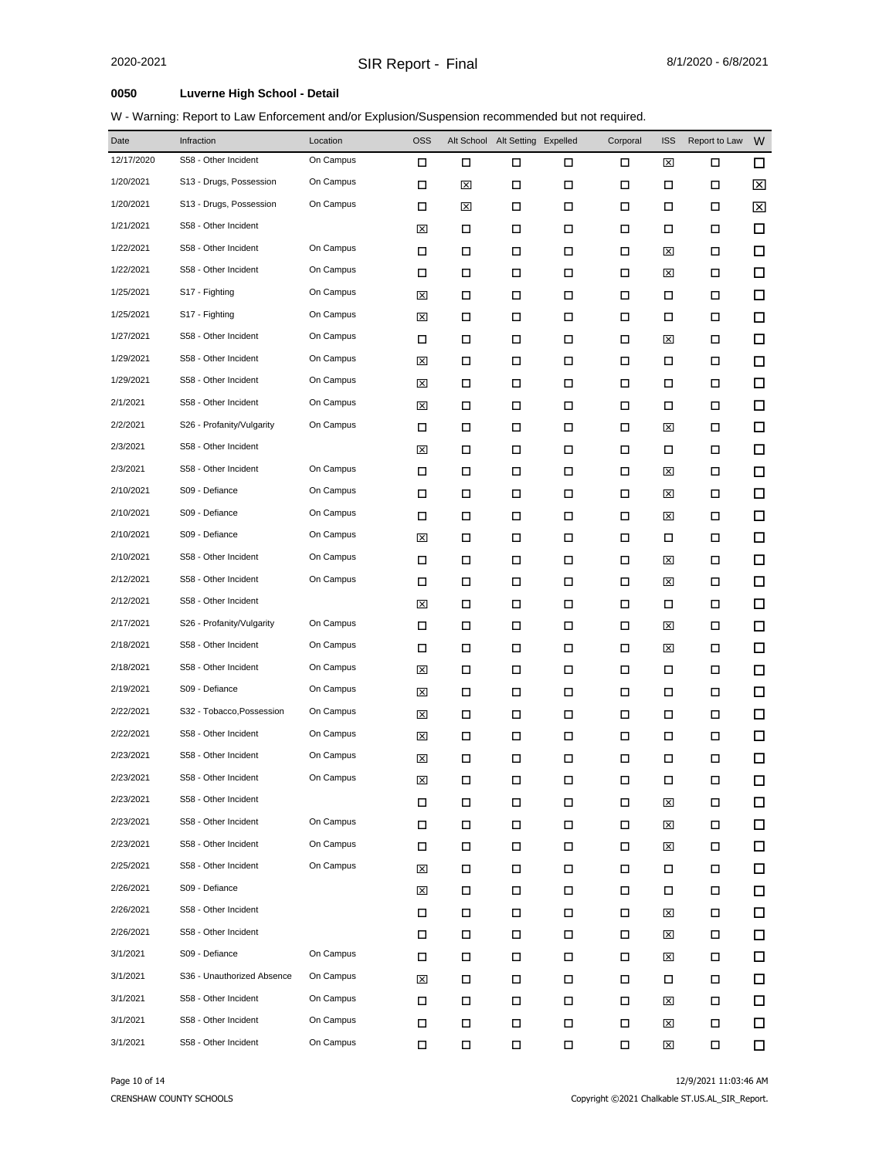| Date       | Infraction                 | Location  | <b>OSS</b> |   | Alt School Alt Setting Expelled |        | Corporal | <b>ISS</b> | Report to Law | W      |
|------------|----------------------------|-----------|------------|---|---------------------------------|--------|----------|------------|---------------|--------|
| 12/17/2020 | S58 - Other Incident       | On Campus | □          | □ | □                               | □      | □        | ⊠          | □             | $\Box$ |
| 1/20/2021  | S13 - Drugs, Possession    | On Campus | □          | 図 | □                               | □      | □        | □          | □             | X      |
| 1/20/2021  | S13 - Drugs, Possession    | On Campus | □          | ⊠ | □                               | □      | □        | □          | □             | ⊠      |
| 1/21/2021  | S58 - Other Incident       |           | ⊠          | □ | □                               | □      | □        | □          | □             | □      |
| 1/22/2021  | S58 - Other Incident       | On Campus | □          | □ | □                               | □      | □        | ⊠          | □             | $\Box$ |
| 1/22/2021  | S58 - Other Incident       | On Campus | □          | □ | □                               | □      | □        | ⊠          | □             | □      |
| 1/25/2021  | S17 - Fighting             | On Campus | ⊠          | □ | П                               | □      | □        | □          | □             | $\Box$ |
| 1/25/2021  | S17 - Fighting             | On Campus | ⊠          | □ | □                               | □      | □        | □          | □             | □      |
| 1/27/2021  | S58 - Other Incident       | On Campus | □          | □ | П                               | $\Box$ | □        | ⊠          | □             | $\Box$ |
| 1/29/2021  | S58 - Other Incident       | On Campus | ⊠          | □ | □                               | □      | □        | П          | □             | □      |
| 1/29/2021  | S58 - Other Incident       | On Campus | ⊠          | □ | П                               | □      | □        | □          | □             | □      |
| 2/1/2021   | S58 - Other Incident       | On Campus | ⊠          | □ | □                               | □      | □        | □          | □             | □      |
| 2/2/2021   | S26 - Profanity/Vulgarity  | On Campus | □          | □ | П                               | □      | □        | ⊠          | □             | □      |
| 2/3/2021   | S58 - Other Incident       |           | ⊠          | □ | □                               | □      | □        | □          | □             | □      |
| 2/3/2021   | S58 - Other Incident       | On Campus | □          | □ | □                               | □      | □        | ⊠          | □             | □      |
| 2/10/2021  | S09 - Defiance             | On Campus | □          | □ | □                               | □      | □        | ⊠          | □             | □      |
| 2/10/2021  | S09 - Defiance             | On Campus | □          | □ | □                               | $\Box$ | □        | ⊠          | □             | □      |
| 2/10/2021  | S09 - Defiance             | On Campus | ⊠          | □ | □                               | □      | □        | □          | □             | □      |
| 2/10/2021  | S58 - Other Incident       | On Campus | □          | □ | □                               | □      | □        | ⊠          | □             | □      |
| 2/12/2021  | S58 - Other Incident       | On Campus | □          | □ | □                               | □      | □        | ⊠          | □             | □      |
| 2/12/2021  | S58 - Other Incident       |           | ⊠          | □ | □                               | □      | □        | □          | □             | □      |
| 2/17/2021  | S26 - Profanity/Vulgarity  | On Campus | □          | □ | □                               | □      | □        | ⊠          | □             | □      |
| 2/18/2021  | S58 - Other Incident       | On Campus | □          | □ | □                               | □      | □        | ⊠          | □             | □      |
| 2/18/2021  | S58 - Other Incident       | On Campus | ⊠          | □ | □                               | □      | □        | □          | □             | □      |
| 2/19/2021  | S09 - Defiance             | On Campus | ⊠          | □ | □                               | $\Box$ | □        | □          | □             | □      |
| 2/22/2021  | S32 - Tobacco, Possession  | On Campus | ⊠          | □ | П                               | $\Box$ | □        | □          | □             | □      |
| 2/22/2021  | S58 - Other Incident       | On Campus | ⊠          | □ | □                               | □      | □        | □          | □             | □      |
| 2/23/2021  | S58 - Other Incident       | On Campus | ⊠          | □ | □                               | □      | □        | □          | □             | □      |
| 2/23/2021  | S58 - Other Incident       | On Campus | 囟          | □ | □                               | □      | □        | □          | □             | □      |
| 2/23/2021  | S58 - Other Incident       |           | П          | П | П                               | $\Box$ | П        | ⊠          | 口             | □      |
| 2/23/2021  | S58 - Other Incident       | On Campus | $\Box$     | П | П                               | $\Box$ | П        | ⊠          | $\Box$        | □      |
| 2/23/2021  | S58 - Other Incident       | On Campus | □          | □ | П                               | П      | □        | ⊠          | □             | $\Box$ |
| 2/25/2021  | S58 - Other Incident       | On Campus | ⊠          | □ | □                               | □      | □        | □          | □             | 口      |
| 2/26/2021  | S09 - Defiance             |           | ⊠          | □ | П                               | П      | □        | □          | □             | $\Box$ |
| 2/26/2021  | S58 - Other Incident       |           | □          | □ | П                               | □      | □        | ⊠          | □             | $\Box$ |
| 2/26/2021  | S58 - Other Incident       |           | □          | □ | П                               | □      | □        | ⊠          | □             | $\Box$ |
| 3/1/2021   | S09 - Defiance             | On Campus | □          | □ | □                               | □      | □        | ⊠          | □             | 口      |
| 3/1/2021   | S36 - Unauthorized Absence | On Campus | ⊠          | □ | П                               | □      | □        | □          | □             | 口      |
| 3/1/2021   | S58 - Other Incident       | On Campus | $\Box$     | □ | □                               | □      | □        | ⊠          | □             | 口      |
| 3/1/2021   | S58 - Other Incident       | On Campus | □          | □ | П                               | П      | □        | ⊠          | □             | 口      |
| 3/1/2021   | S58 - Other Incident       | On Campus | П          | П | П                               | $\Box$ | П        | 区          | 口             | □      |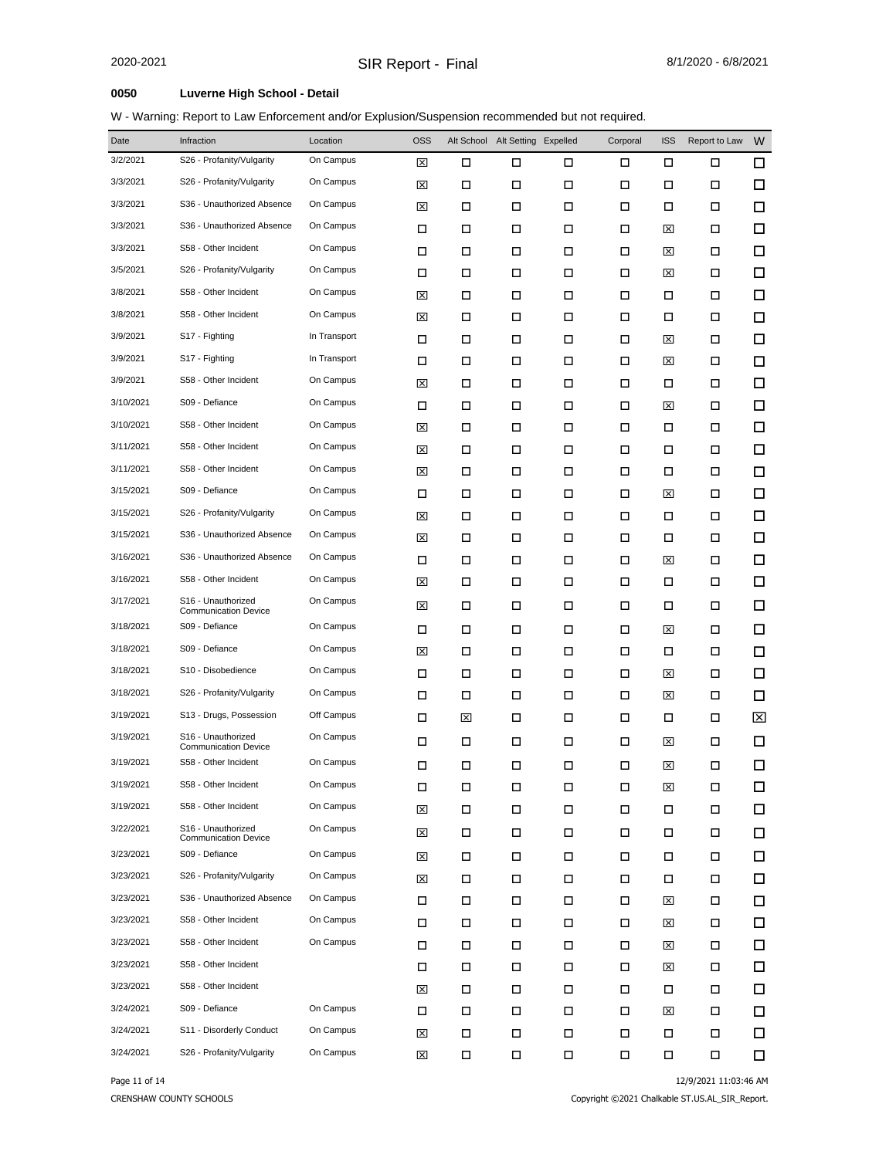W - Warning: Report to Law Enforcement and/or Explusion/Suspension recommended but not required.

| Date      | Infraction                                                    | Location     | <b>OSS</b> |   | Alt School Alt Setting Expelled |        | Corporal | <b>ISS</b> | Report to Law | W      |
|-----------|---------------------------------------------------------------|--------------|------------|---|---------------------------------|--------|----------|------------|---------------|--------|
| 3/2/2021  | S26 - Profanity/Vulgarity                                     | On Campus    | ⊠          | □ | □                               | □      | □        | □          | □             | □      |
| 3/3/2021  | S26 - Profanity/Vulgarity                                     | On Campus    | ⊠          | □ | □                               | □      | □        | □          | □             | □      |
| 3/3/2021  | S36 - Unauthorized Absence                                    | On Campus    | ⊠          | □ | □                               | □      | □        | П          | □             | □      |
| 3/3/2021  | S36 - Unauthorized Absence                                    | On Campus    | □          | □ | □                               | □      | □        | ⊠          | □             | □      |
| 3/3/2021  | S58 - Other Incident                                          | On Campus    | □          | П | □                               | □      | □        | ⊠          | □             | $\Box$ |
| 3/5/2021  | S26 - Profanity/Vulgarity                                     | On Campus    | □          | □ | □                               | □      | □        | ⊠          | □             | □      |
| 3/8/2021  | S58 - Other Incident                                          | On Campus    | ⊠          | П | □                               | □      | □        | □          | □             | □      |
| 3/8/2021  | S58 - Other Incident                                          | On Campus    | ⊠          | □ | □                               | □      | □        | П          | □             | □      |
| 3/9/2021  | S17 - Fighting                                                | In Transport | □          | П | □                               | □      | □        | ⊠          | □             | □      |
| 3/9/2021  | S17 - Fighting                                                | In Transport | □          | □ | □                               | □      | □        | ⊠          | □             | □      |
| 3/9/2021  | S58 - Other Incident                                          | On Campus    | ⊠          | П | □                               | □      | □        | □          | □             | □      |
| 3/10/2021 | S09 - Defiance                                                | On Campus    | □          | □ | □                               | □      | □        | ⊠          | □             | □      |
| 3/10/2021 | S58 - Other Incident                                          | On Campus    | 囟          | □ | □                               | □      | □        | П          | □             | □      |
| 3/11/2021 | S58 - Other Incident                                          | On Campus    | ⊠          | □ | □                               | □      | □        | □          | □             | □      |
| 3/11/2021 | S58 - Other Incident                                          | On Campus    | ⊠          | □ | □                               | □      | □        | □          | □             | □      |
| 3/15/2021 | S09 - Defiance                                                | On Campus    | □          | □ | □                               | □      | □        | ⊠          | □             | □      |
| 3/15/2021 | S26 - Profanity/Vulgarity                                     | On Campus    | ⊠          | □ | □                               | □      | □        | □          | □             | □      |
| 3/15/2021 | S36 - Unauthorized Absence                                    | On Campus    | ⊠          | □ | □                               | □      | □        | □          | □             | □      |
| 3/16/2021 | S36 - Unauthorized Absence                                    | On Campus    | □          | □ | □                               | □      | □        | ⊠          | □             | □      |
| 3/16/2021 | S58 - Other Incident                                          | On Campus    | ⊠          | □ | □                               | □      | □        | □          | □             | □      |
| 3/17/2021 | S16 - Unauthorized<br><b>Communication Device</b>             | On Campus    | ⊠          | □ | □                               | □      | □        | □          | □             | □      |
| 3/18/2021 | S09 - Defiance                                                | On Campus    | □          | □ | □                               | □      | □        | ⊠          | □             | □      |
| 3/18/2021 | S09 - Defiance                                                | On Campus    | ⊠          | □ | □                               | □      | □        | □          | □             | □      |
| 3/18/2021 | S10 - Disobedience                                            | On Campus    | □          | □ | □                               | □      | □        | ⊠          | □             | □      |
| 3/18/2021 | S26 - Profanity/Vulgarity                                     | On Campus    | □          | □ | □                               | □      | □        | ⊠          | □             | □      |
| 3/19/2021 | S13 - Drugs, Possession                                       | Off Campus   | □          | ⊠ | □                               | □      | □        | □          | □             | ⊠      |
| 3/19/2021 | S <sub>16</sub> - Unauthorized<br><b>Communication Device</b> | On Campus    | □          | □ | □                               | □      | □        | ⊠          | □             | □      |
| 3/19/2021 | S58 - Other Incident                                          | On Campus    | □          | □ | □                               | □      | □        | ⊠          | □             | □      |
| 3/19/2021 | S58 - Other Incident                                          | On Campus    | П          | □ | □                               | □      | □        | 図          | 口             | $\Box$ |
| 3/19/2021 | S58 - Other Incident                                          | On Campus    | ⊠          | □ | □                               | $\Box$ | □        | □          | 口             | □      |
| 3/22/2021 | S16 - Unauthorized<br><b>Communication Device</b>             | On Campus    | ⊠          | □ | □                               | □      | □        | □          | 口             | □      |
| 3/23/2021 | S09 - Defiance                                                | On Campus    | ⊠          | □ | □                               | □      | □        | □          | □             | □      |
| 3/23/2021 | S26 - Profanity/Vulgarity                                     | On Campus    | ⊠          | □ | □                               | □      | □        | □          | □             | □      |
| 3/23/2021 | S36 - Unauthorized Absence                                    | On Campus    | □          | □ | □                               | □      | □        | ⊠          | □             | □      |
| 3/23/2021 | S58 - Other Incident                                          | On Campus    | □          | □ | □                               | □      | □        | ⊠          | □             | □      |
| 3/23/2021 | S58 - Other Incident                                          | On Campus    | □          | □ | □                               | □      | □        | ⊠          | □             | □      |
| 3/23/2021 | S58 - Other Incident                                          |              | □          | □ | □                               | □      | □        | ⊠          | □             | □      |
| 3/23/2021 | S58 - Other Incident                                          |              | ⊠          | □ | □                               | □      | □        | □          | □             | □      |
| 3/24/2021 | S09 - Defiance                                                | On Campus    | □          | □ | □                               | □      | □        | ⊠          | □             | □      |
| 3/24/2021 | S11 - Disorderly Conduct                                      | On Campus    | ⊠          | □ | П                               | □      | □        | □          | □             | □      |
| 3/24/2021 | S26 - Profanity/Vulgarity                                     | On Campus    | ⊠          | П | П                               | П      | П        | П          | □             | $\Box$ |

Page 11 of 14 12/9/2021 11:03:46 AM

CRENSHAW COUNTY SCHOOLS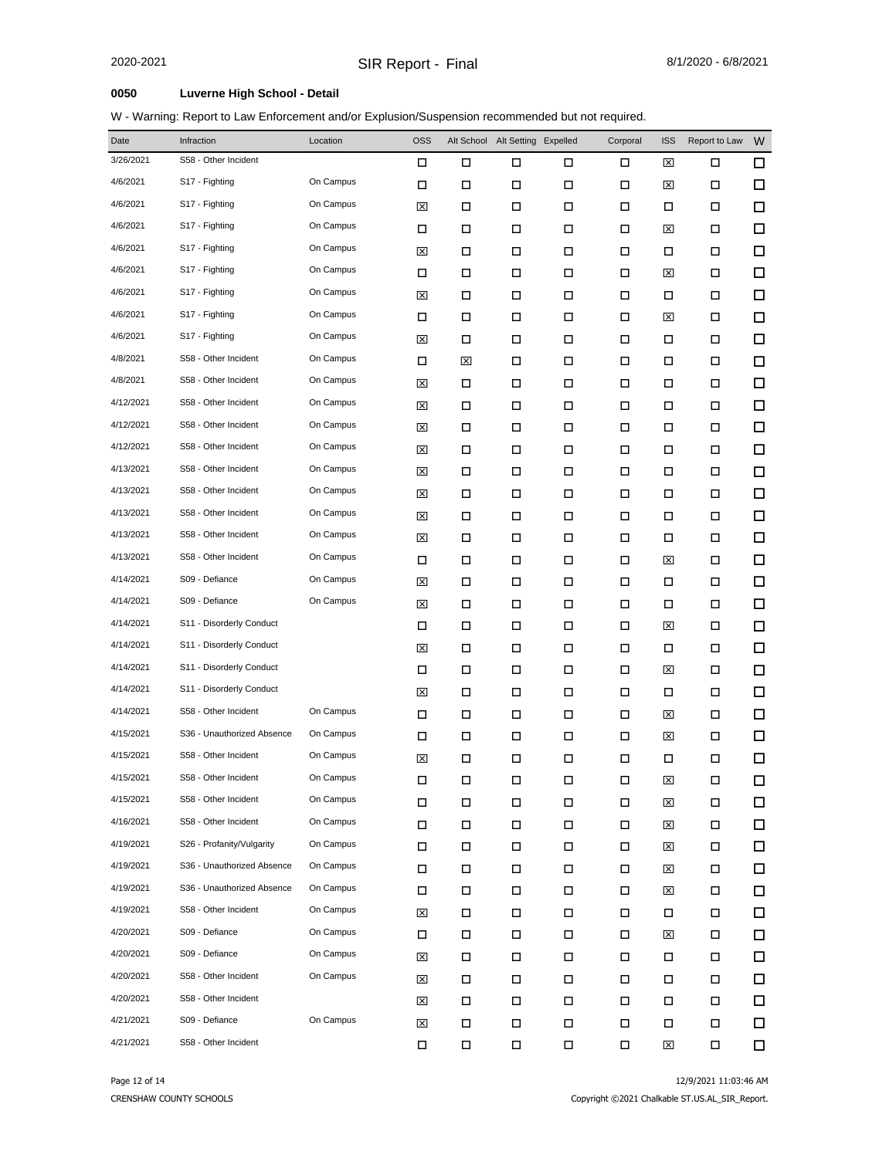| Date      | Infraction                 | Location  | <b>OSS</b> |   | Alt School Alt Setting Expelled |        | Corporal | <b>ISS</b> | Report to Law | W      |
|-----------|----------------------------|-----------|------------|---|---------------------------------|--------|----------|------------|---------------|--------|
| 3/26/2021 | S58 - Other Incident       |           | □          | □ | □                               | □      | □        | ⊠          | □             | $\Box$ |
| 4/6/2021  | S17 - Fighting             | On Campus | □          | □ | □                               | □      | □        | ⊠          | □             | □      |
| 4/6/2021  | S17 - Fighting             | On Campus | ⊠          | □ | П                               | □      | □        | □          | □             | □      |
| 4/6/2021  | S17 - Fighting             | On Campus | □          | □ | □                               | □      | □        | ⊠          | □             | □      |
| 4/6/2021  | S17 - Fighting             | On Campus | ⊠          | □ | П                               | □      | □        | □          | □             | $\Box$ |
| 4/6/2021  | S17 - Fighting             | On Campus | □          | □ | □                               | □      | □        | ⊠          | □             | □      |
| 4/6/2021  | S17 - Fighting             | On Campus | ⊠          | □ | П                               | П      | □        | □          | 口             | $\Box$ |
| 4/6/2021  | S17 - Fighting             | On Campus | □          | □ | □                               | □      | □        | ⊠          | □             | □      |
| 4/6/2021  | S17 - Fighting             | On Campus | ⊠          | □ | П                               | $\Box$ | □        | □          | □             | □      |
| 4/8/2021  | S58 - Other Incident       | On Campus | □          | 図 | □                               | □      | □        | □          | □             | $\Box$ |
| 4/8/2021  | S58 - Other Incident       | On Campus | ⊠          | □ | □                               | □      | □        | □          | □             | □      |
| 4/12/2021 | S58 - Other Incident       | On Campus | ⊠          | □ | П                               | □      | □        | П          | 口             | □      |
| 4/12/2021 | S58 - Other Incident       | On Campus | ⊠          | □ | □                               | □      | □        | □          | □             | □      |
| 4/12/2021 | S58 - Other Incident       | On Campus | ⊠          | □ | П                               | $\Box$ | П        | □          | □             | □      |
| 4/13/2021 | S58 - Other Incident       | On Campus | ⊠          | □ | П                               | □      | □        | □          | □             | □      |
| 4/13/2021 | S58 - Other Incident       | On Campus | ⊠          | □ | □                               | □      | □        | □          | □             | □      |
| 4/13/2021 | S58 - Other Incident       | On Campus | ⊠          | □ | □                               | $\Box$ | □        | □          | □             | □      |
| 4/13/2021 | S58 - Other Incident       | On Campus | ⊠          | □ | □                               | □      | □        | □          | □             | □      |
| 4/13/2021 | S58 - Other Incident       | On Campus | □          | □ | □                               | □      | □        | ⊠          | □             | □      |
| 4/14/2021 | S09 - Defiance             | On Campus | ⊠          | □ | П                               | □      | □        | □          | □             | □      |
| 4/14/2021 | S09 - Defiance             | On Campus | ⊠          | □ | □                               | $\Box$ | □        | □          | □             | □      |
| 4/14/2021 | S11 - Disorderly Conduct   |           | □          | □ | П                               | □      | □        | ⊠          | □             | □      |
| 4/14/2021 | S11 - Disorderly Conduct   |           | ⊠          | □ | □                               | □      | □        | □          | □             | □      |
| 4/14/2021 | S11 - Disorderly Conduct   |           | □          | □ | □                               | □      | □        | ⊠          | □             | □      |
| 4/14/2021 | S11 - Disorderly Conduct   |           | ⊠          | □ | П                               | $\Box$ | □        | □          | □             | □      |
| 4/14/2021 | S58 - Other Incident       | On Campus | □          | □ | П                               | П      | □        | ⊠          | □             | □      |
| 4/15/2021 | S36 - Unauthorized Absence | On Campus | □          | □ | □                               | □      | □        | ⊠          | □             | □      |
| 4/15/2021 | S58 - Other Incident       | On Campus | ⊠          | □ | $\Box$                          | □      | □        | □          | □             | □      |
| 4/15/2021 | S58 - Other Incident       | On Campus | □          | □ | □                               | □      | □        | 図          | □             | □      |
| 4/15/2021 | S58 - Other Incident       | On Campus | П          | □ | □                               | П      | П        | ⊠          | 口             | □      |
| 4/16/2021 | S58 - Other Incident       | On Campus | П          | □ | П                               | $\Box$ | □        | ⊠          | $\Box$        | □      |
| 4/19/2021 | S26 - Profanity/Vulgarity  | On Campus | □          | □ | П                               | □      | □        | ⊠          | □             | $\Box$ |
| 4/19/2021 | S36 - Unauthorized Absence | On Campus | □          | □ | П                               | □      | □        | ⊠          | □             | □      |
| 4/19/2021 | S36 - Unauthorized Absence | On Campus | □          | □ | П                               | П      | □        | ⊠          | □             | $\Box$ |
| 4/19/2021 | S58 - Other Incident       | On Campus | ⊠          | □ | П                               | П      | П        | □          | □             | □      |
| 4/20/2021 | S09 - Defiance             | On Campus | □          | □ | □                               | $\Box$ | □        | ⊠          | □             | $\Box$ |
| 4/20/2021 | S09 - Defiance             | On Campus | ⊠          | □ | П                               | □      | □        | □          | □             | □      |
| 4/20/2021 | S58 - Other Incident       | On Campus | ⊠          | □ | П                               | $\Box$ | □        | $\Box$     | □             | 口      |
| 4/20/2021 | S58 - Other Incident       |           | ⊠          | □ | П                               | $\Box$ | П        | □          | □             | 口      |
| 4/21/2021 | S09 - Defiance             | On Campus | ⊠          | П | П                               | П      | П        | □          | Д             | $\Box$ |
| 4/21/2021 | S58 - Other Incident       |           | □          | П | П                               | $\Box$ | □        | ⊠          | □             | □      |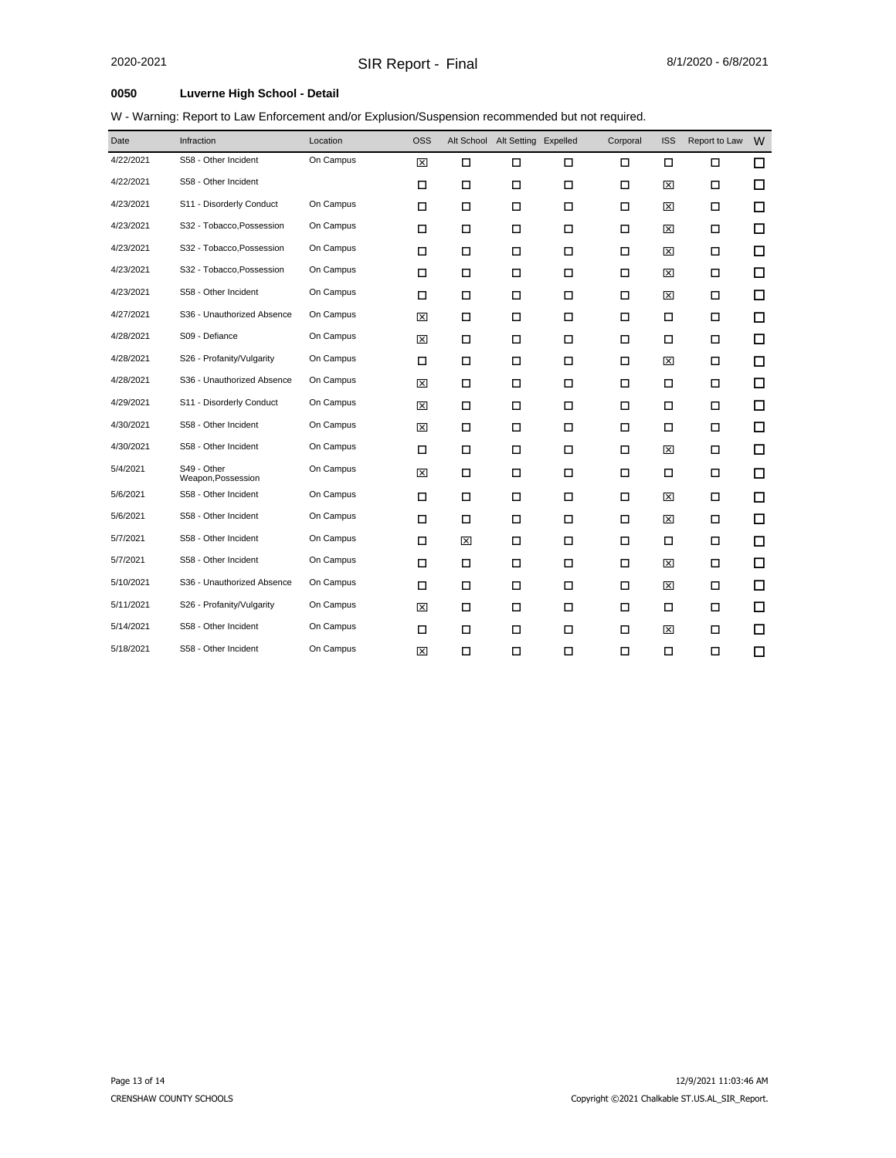|  | W - Warning: Report to Law Enforcement and/or Explusion/Suspension recommended but not required. |  |  |
|--|--------------------------------------------------------------------------------------------------|--|--|
|  |                                                                                                  |  |  |

| Date      | Infraction                        | Location  | <b>OSS</b> |        | Alt School Alt Setting Expelled |        | Corporal | <b>ISS</b> | Report to Law | W |
|-----------|-----------------------------------|-----------|------------|--------|---------------------------------|--------|----------|------------|---------------|---|
| 4/22/2021 | S58 - Other Incident              | On Campus | 図          | $\Box$ | П                               | $\Box$ | П        | $\Box$     | П             | □ |
| 4/22/2021 | S58 - Other Incident              |           | □          | □      | Ω                               | 口      | □        | ⊠          | □             | □ |
| 4/23/2021 | S11 - Disorderly Conduct          | On Campus | $\Box$     | П      | Ω                               | $\Box$ | □        | 図          | $\Box$        | □ |
| 4/23/2021 | S32 - Tobacco, Possession         | On Campus | $\Box$     | П      | П                               | $\Box$ | $\Box$   | ⊠          | $\Box$        | □ |
| 4/23/2021 | S32 - Tobacco, Possession         | On Campus | □          | □      | П                               | $\Box$ | □        | ⊠          | □             | □ |
| 4/23/2021 | S32 - Tobacco, Possession         | On Campus | $\Box$     | $\Box$ | П                               | $\Box$ | □        | ⊠          | □             | □ |
| 4/23/2021 | S58 - Other Incident              | On Campus | □          | □      | □                               | □      | □        | ⊠          | □             | □ |
| 4/27/2021 | S36 - Unauthorized Absence        | On Campus | ⊠          | □      | П                               | $\Box$ | □        | □          | □             | □ |
| 4/28/2021 | S09 - Defiance                    | On Campus | 図          | □      | □                               | □      | □        | □          | □             | □ |
| 4/28/2021 | S26 - Profanity/Vulgarity         | On Campus | $\Box$     | □      | Ω                               | $\Box$ | □        | ⊠          | □             | □ |
| 4/28/2021 | S36 - Unauthorized Absence        | On Campus | 図          | $\Box$ | П                               | $\Box$ | $\Box$   | $\Box$     | $\Box$        | □ |
| 4/29/2021 | S11 - Disorderly Conduct          | On Campus | 図          | □      | □                               | □      | □        | □          | □             | □ |
| 4/30/2021 | S58 - Other Incident              | On Campus | 図          | $\Box$ | $\Box$                          | $\Box$ | □        | □          | $\Box$        | □ |
| 4/30/2021 | S58 - Other Incident              | On Campus | □          | □      | □                               | □      | □        | ⊠          | □             | □ |
| 5/4/2021  | S49 - Other<br>Weapon, Possession | On Campus | 図          | □      | П                               | $\Box$ | $\Box$   | □          | □             | □ |
| 5/6/2021  | S58 - Other Incident              | On Campus | $\Box$     | $\Box$ | Ω                               | □      | $\Box$   | 図          | $\Box$        | □ |
| 5/6/2021  | S58 - Other Incident              | On Campus | $\Box$     | □      | П                               | $\Box$ | □        | ⊠          | □             | □ |
| 5/7/2021  | S58 - Other Incident              | On Campus | $\Box$     | 図      | Ω                               | $\Box$ | □        | □          | □             | □ |
| 5/7/2021  | S58 - Other Incident              | On Campus | □          | □      | □                               | □      | □        | ⊠          | □             | □ |
| 5/10/2021 | S36 - Unauthorized Absence        | On Campus | □          | □      | □                               | □      | □        | ⊠          | □             | □ |
| 5/11/2021 | S26 - Profanity/Vulgarity         | On Campus | 図          | □      | П                               | $\Box$ | □        | □          | □             | □ |
| 5/14/2021 | S58 - Other Incident              | On Campus | $\Box$     | $\Box$ | П                               | $\Box$ | $\Box$   | ⊠          | $\Box$        | □ |
| 5/18/2021 | S58 - Other Incident              | On Campus | 図          | □      | П                               | $\Box$ | □        | □          | □             | □ |